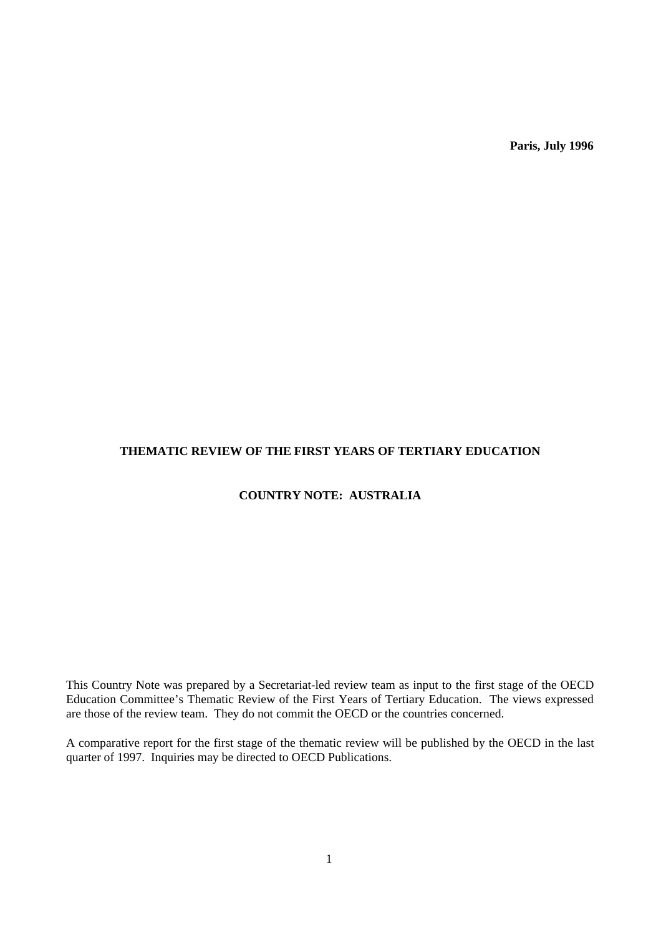**Paris, July 1996**

# **THEMATIC REVIEW OF THE FIRST YEARS OF TERTIARY EDUCATION**

# **COUNTRY NOTE: AUSTRALIA**

This Country Note was prepared by a Secretariat-led review team as input to the first stage of the OECD Education Committee's Thematic Review of the First Years of Tertiary Education. The views expressed are those of the review team. They do not commit the OECD or the countries concerned.

A comparative report for the first stage of the thematic review will be published by the OECD in the last quarter of 1997. Inquiries may be directed to OECD Publications.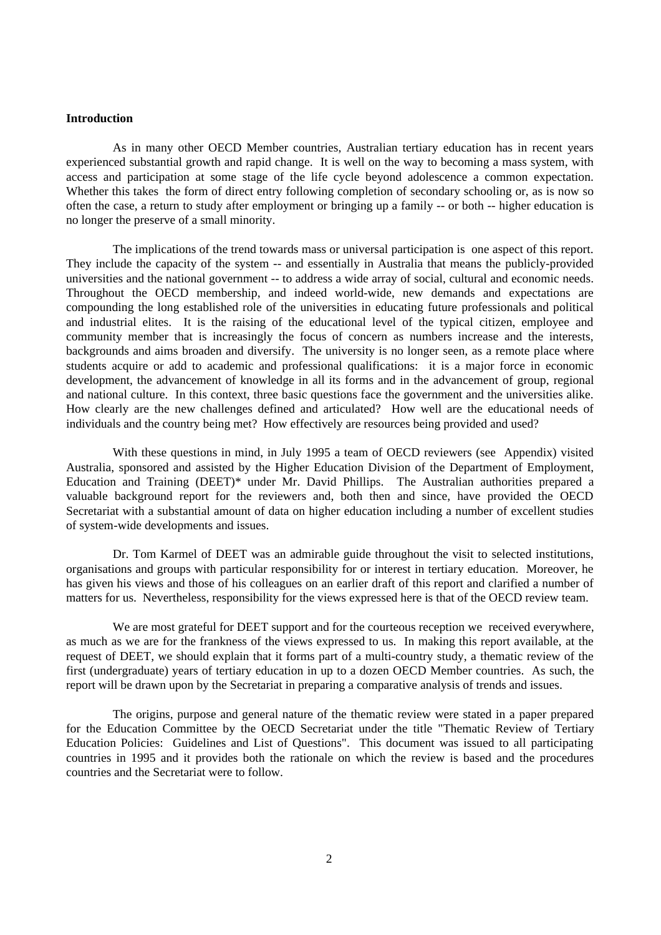#### **Introduction**

As in many other OECD Member countries, Australian tertiary education has in recent years experienced substantial growth and rapid change. It is well on the way to becoming a mass system, with access and participation at some stage of the life cycle beyond adolescence a common expectation. Whether this takes the form of direct entry following completion of secondary schooling or, as is now so often the case, a return to study after employment or bringing up a family -- or both -- higher education is no longer the preserve of a small minority.

The implications of the trend towards mass or universal participation is one aspect of this report. They include the capacity of the system -- and essentially in Australia that means the publicly-provided universities and the national government -- to address a wide array of social, cultural and economic needs. Throughout the OECD membership, and indeed world-wide, new demands and expectations are compounding the long established role of the universities in educating future professionals and political and industrial elites. It is the raising of the educational level of the typical citizen, employee and community member that is increasingly the focus of concern as numbers increase and the interests, backgrounds and aims broaden and diversify. The university is no longer seen, as a remote place where students acquire or add to academic and professional qualifications: it is a major force in economic development, the advancement of knowledge in all its forms and in the advancement of group, regional and national culture. In this context, three basic questions face the government and the universities alike. How clearly are the new challenges defined and articulated? How well are the educational needs of individuals and the country being met? How effectively are resources being provided and used?

With these questions in mind, in July 1995 a team of OECD reviewers (see Appendix) visited Australia, sponsored and assisted by the Higher Education Division of the Department of Employment, Education and Training (DEET)\* under Mr. David Phillips. The Australian authorities prepared a valuable background report for the reviewers and, both then and since, have provided the OECD Secretariat with a substantial amount of data on higher education including a number of excellent studies of system-wide developments and issues.

Dr. Tom Karmel of DEET was an admirable guide throughout the visit to selected institutions, organisations and groups with particular responsibility for or interest in tertiary education. Moreover, he has given his views and those of his colleagues on an earlier draft of this report and clarified a number of matters for us. Nevertheless, responsibility for the views expressed here is that of the OECD review team.

We are most grateful for DEET support and for the courteous reception we received everywhere, as much as we are for the frankness of the views expressed to us. In making this report available, at the request of DEET, we should explain that it forms part of a multi-country study, a thematic review of the first (undergraduate) years of tertiary education in up to a dozen OECD Member countries. As such, the report will be drawn upon by the Secretariat in preparing a comparative analysis of trends and issues.

The origins, purpose and general nature of the thematic review were stated in a paper prepared for the Education Committee by the OECD Secretariat under the title "Thematic Review of Tertiary Education Policies: Guidelines and List of Questions". This document was issued to all participating countries in 1995 and it provides both the rationale on which the review is based and the procedures countries and the Secretariat were to follow.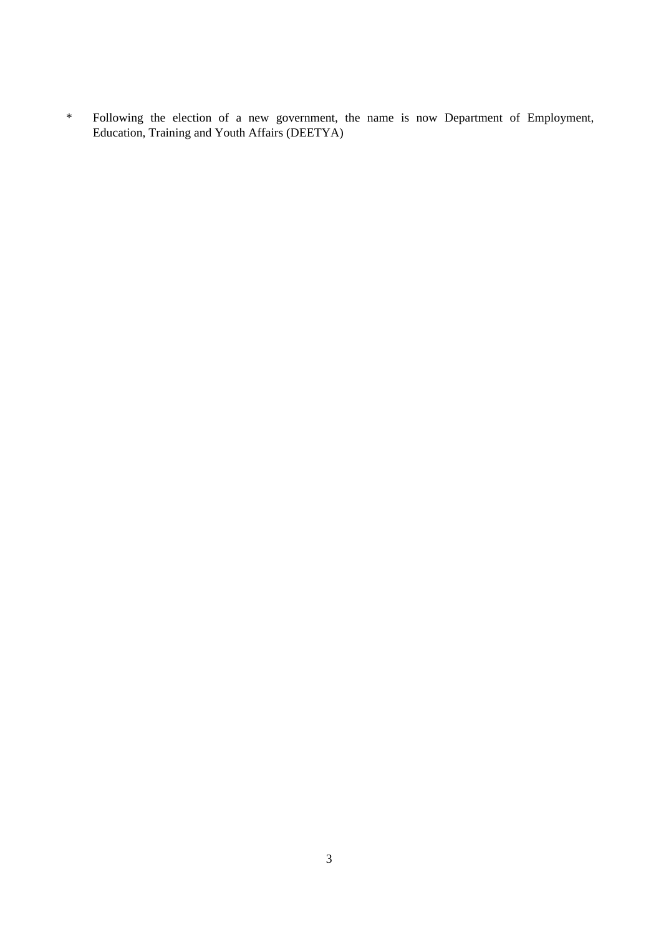\* Following the election of a new government, the name is now Department of Employment, Education, Training and Youth Affairs (DEETYA)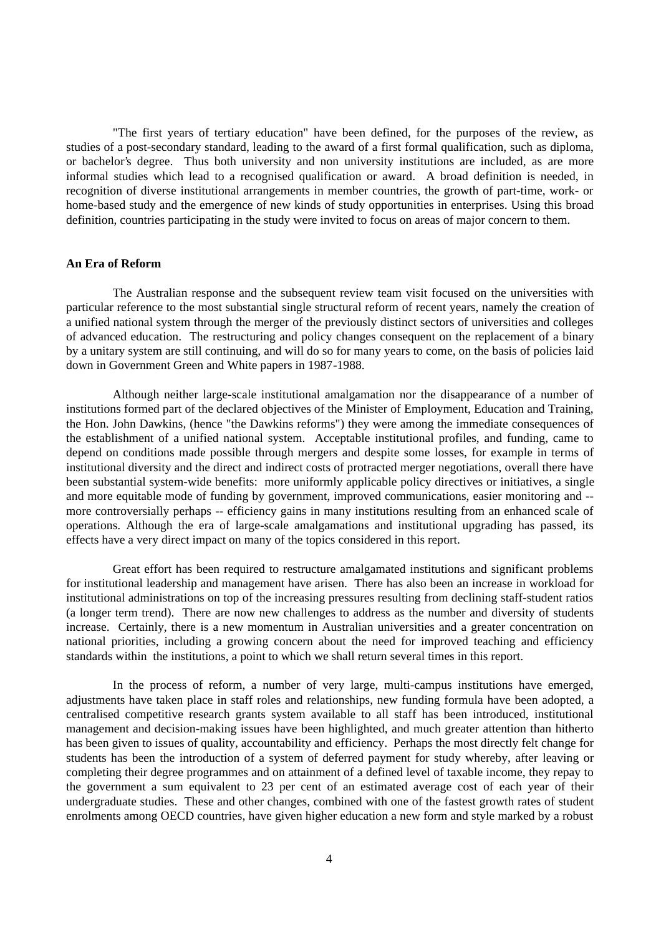"The first years of tertiary education" have been defined, for the purposes of the review, as studies of a post-secondary standard, leading to the award of a first formal qualification, such as diploma, or bachelor's degree. Thus both university and non university institutions are included, as are more informal studies which lead to a recognised qualification or award. A broad definition is needed, in recognition of diverse institutional arrangements in member countries, the growth of part-time, work- or home-based study and the emergence of new kinds of study opportunities in enterprises. Using this broad definition, countries participating in the study were invited to focus on areas of major concern to them.

## **An Era of Reform**

The Australian response and the subsequent review team visit focused on the universities with particular reference to the most substantial single structural reform of recent years, namely the creation of a unified national system through the merger of the previously distinct sectors of universities and colleges of advanced education. The restructuring and policy changes consequent on the replacement of a binary by a unitary system are still continuing, and will do so for many years to come, on the basis of policies laid down in Government Green and White papers in 1987-1988.

Although neither large-scale institutional amalgamation nor the disappearance of a number of institutions formed part of the declared objectives of the Minister of Employment, Education and Training, the Hon. John Dawkins, (hence "the Dawkins reforms") they were among the immediate consequences of the establishment of a unified national system. Acceptable institutional profiles, and funding, came to depend on conditions made possible through mergers and despite some losses, for example in terms of institutional diversity and the direct and indirect costs of protracted merger negotiations, overall there have been substantial system-wide benefits: more uniformly applicable policy directives or initiatives, a single and more equitable mode of funding by government, improved communications, easier monitoring and - more controversially perhaps -- efficiency gains in many institutions resulting from an enhanced scale of operations. Although the era of large-scale amalgamations and institutional upgrading has passed, its effects have a very direct impact on many of the topics considered in this report.

Great effort has been required to restructure amalgamated institutions and significant problems for institutional leadership and management have arisen. There has also been an increase in workload for institutional administrations on top of the increasing pressures resulting from declining staff-student ratios (a longer term trend). There are now new challenges to address as the number and diversity of students increase. Certainly, there is a new momentum in Australian universities and a greater concentration on national priorities, including a growing concern about the need for improved teaching and efficiency standards within the institutions, a point to which we shall return several times in this report.

In the process of reform, a number of very large, multi-campus institutions have emerged, adjustments have taken place in staff roles and relationships, new funding formula have been adopted, a centralised competitive research grants system available to all staff has been introduced, institutional management and decision-making issues have been highlighted, and much greater attention than hitherto has been given to issues of quality, accountability and efficiency. Perhaps the most directly felt change for students has been the introduction of a system of deferred payment for study whereby, after leaving or completing their degree programmes and on attainment of a defined level of taxable income, they repay to the government a sum equivalent to 23 per cent of an estimated average cost of each year of their undergraduate studies. These and other changes, combined with one of the fastest growth rates of student enrolments among OECD countries, have given higher education a new form and style marked by a robust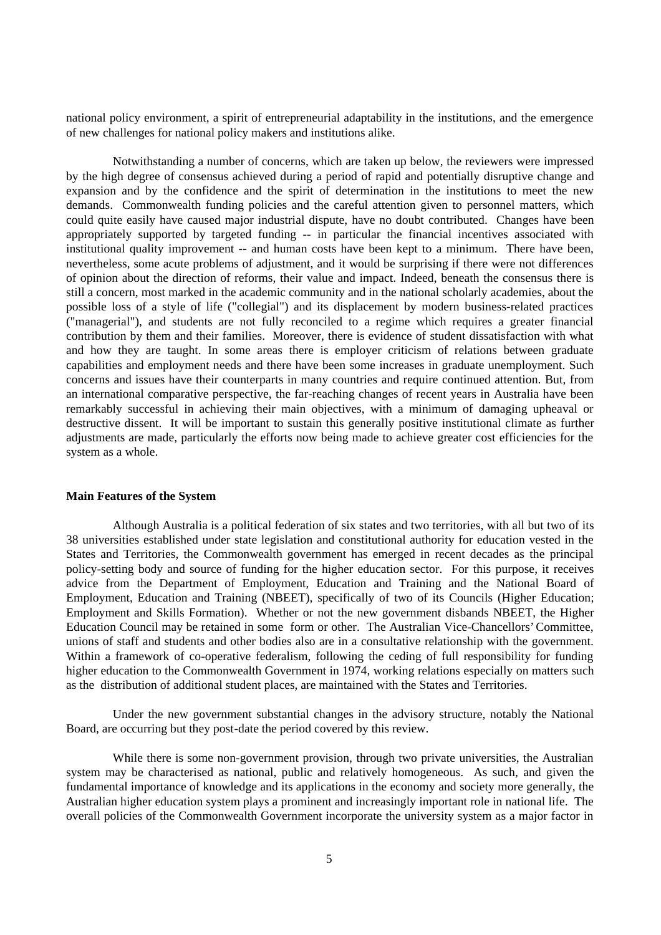national policy environment, a spirit of entrepreneurial adaptability in the institutions, and the emergence of new challenges for national policy makers and institutions alike.

Notwithstanding a number of concerns, which are taken up below, the reviewers were impressed by the high degree of consensus achieved during a period of rapid and potentially disruptive change and expansion and by the confidence and the spirit of determination in the institutions to meet the new demands. Commonwealth funding policies and the careful attention given to personnel matters, which could quite easily have caused major industrial dispute, have no doubt contributed. Changes have been appropriately supported by targeted funding -- in particular the financial incentives associated with institutional quality improvement -- and human costs have been kept to a minimum. There have been, nevertheless, some acute problems of adjustment, and it would be surprising if there were not differences of opinion about the direction of reforms, their value and impact. Indeed, beneath the consensus there is still a concern, most marked in the academic community and in the national scholarly academies, about the possible loss of a style of life ("collegial") and its displacement by modern business-related practices ("managerial"), and students are not fully reconciled to a regime which requires a greater financial contribution by them and their families. Moreover, there is evidence of student dissatisfaction with what and how they are taught. In some areas there is employer criticism of relations between graduate capabilities and employment needs and there have been some increases in graduate unemployment. Such concerns and issues have their counterparts in many countries and require continued attention. But, from an international comparative perspective, the far-reaching changes of recent years in Australia have been remarkably successful in achieving their main objectives, with a minimum of damaging upheaval or destructive dissent. It will be important to sustain this generally positive institutional climate as further adjustments are made, particularly the efforts now being made to achieve greater cost efficiencies for the system as a whole.

#### **Main Features of the System**

Although Australia is a political federation of six states and two territories, with all but two of its 38 universities established under state legislation and constitutional authority for education vested in the States and Territories, the Commonwealth government has emerged in recent decades as the principal policy-setting body and source of funding for the higher education sector. For this purpose, it receives advice from the Department of Employment, Education and Training and the National Board of Employment, Education and Training (NBEET), specifically of two of its Councils (Higher Education; Employment and Skills Formation). Whether or not the new government disbands NBEET, the Higher Education Council may be retained in some form or other. The Australian Vice-Chancellors' Committee, unions of staff and students and other bodies also are in a consultative relationship with the government. Within a framework of co-operative federalism, following the ceding of full responsibility for funding higher education to the Commonwealth Government in 1974, working relations especially on matters such as the distribution of additional student places, are maintained with the States and Territories.

Under the new government substantial changes in the advisory structure, notably the National Board, are occurring but they post-date the period covered by this review.

While there is some non-government provision, through two private universities, the Australian system may be characterised as national, public and relatively homogeneous. As such, and given the fundamental importance of knowledge and its applications in the economy and society more generally, the Australian higher education system plays a prominent and increasingly important role in national life. The overall policies of the Commonwealth Government incorporate the university system as a major factor in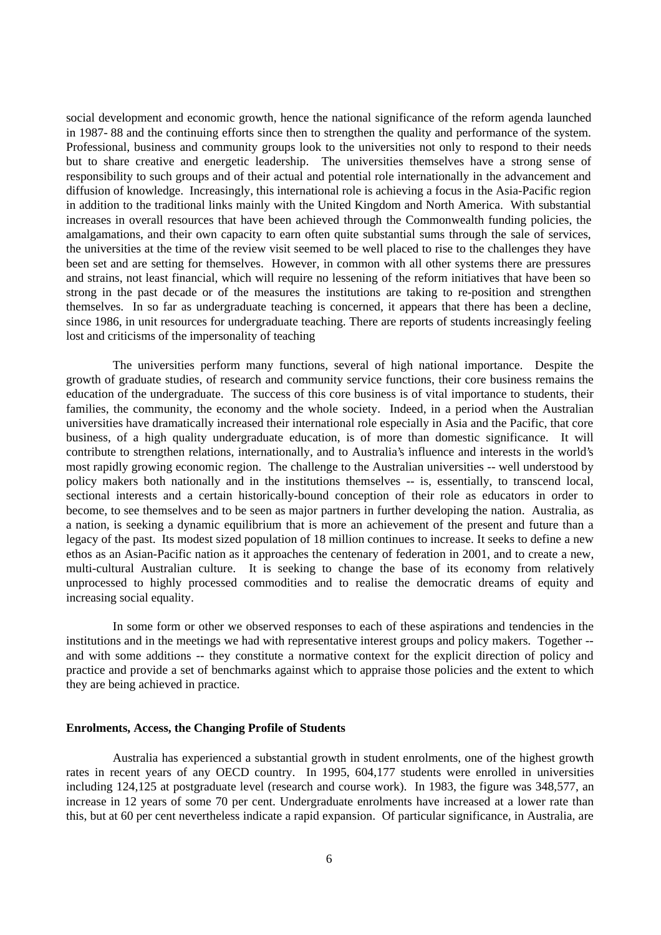social development and economic growth, hence the national significance of the reform agenda launched in 1987- 88 and the continuing efforts since then to strengthen the quality and performance of the system. Professional, business and community groups look to the universities not only to respond to their needs but to share creative and energetic leadership. The universities themselves have a strong sense of responsibility to such groups and of their actual and potential role internationally in the advancement and diffusion of knowledge. Increasingly, this international role is achieving a focus in the Asia-Pacific region in addition to the traditional links mainly with the United Kingdom and North America. With substantial increases in overall resources that have been achieved through the Commonwealth funding policies, the amalgamations, and their own capacity to earn often quite substantial sums through the sale of services, the universities at the time of the review visit seemed to be well placed to rise to the challenges they have been set and are setting for themselves. However, in common with all other systems there are pressures and strains, not least financial, which will require no lessening of the reform initiatives that have been so strong in the past decade or of the measures the institutions are taking to re-position and strengthen themselves. In so far as undergraduate teaching is concerned, it appears that there has been a decline, since 1986, in unit resources for undergraduate teaching. There are reports of students increasingly feeling lost and criticisms of the impersonality of teaching

The universities perform many functions, several of high national importance. Despite the growth of graduate studies, of research and community service functions, their core business remains the education of the undergraduate. The success of this core business is of vital importance to students, their families, the community, the economy and the whole society. Indeed, in a period when the Australian universities have dramatically increased their international role especially in Asia and the Pacific, that core business, of a high quality undergraduate education, is of more than domestic significance. It will contribute to strengthen relations, internationally, and to Australia's influence and interests in the world's most rapidly growing economic region. The challenge to the Australian universities -- well understood by policy makers both nationally and in the institutions themselves -- is, essentially, to transcend local, sectional interests and a certain historically-bound conception of their role as educators in order to become, to see themselves and to be seen as major partners in further developing the nation. Australia, as a nation, is seeking a dynamic equilibrium that is more an achievement of the present and future than a legacy of the past. Its modest sized population of 18 million continues to increase. It seeks to define a new ethos as an Asian-Pacific nation as it approaches the centenary of federation in 2001, and to create a new, multi-cultural Australian culture. It is seeking to change the base of its economy from relatively unprocessed to highly processed commodities and to realise the democratic dreams of equity and increasing social equality.

In some form or other we observed responses to each of these aspirations and tendencies in the institutions and in the meetings we had with representative interest groups and policy makers. Together - and with some additions -- they constitute a normative context for the explicit direction of policy and practice and provide a set of benchmarks against which to appraise those policies and the extent to which they are being achieved in practice.

#### **Enrolments, Access, the Changing Profile of Students**

Australia has experienced a substantial growth in student enrolments, one of the highest growth rates in recent years of any OECD country. In 1995, 604,177 students were enrolled in universities including 124,125 at postgraduate level (research and course work). In 1983, the figure was 348,577, an increase in 12 years of some 70 per cent. Undergraduate enrolments have increased at a lower rate than this, but at 60 per cent nevertheless indicate a rapid expansion. Of particular significance, in Australia, are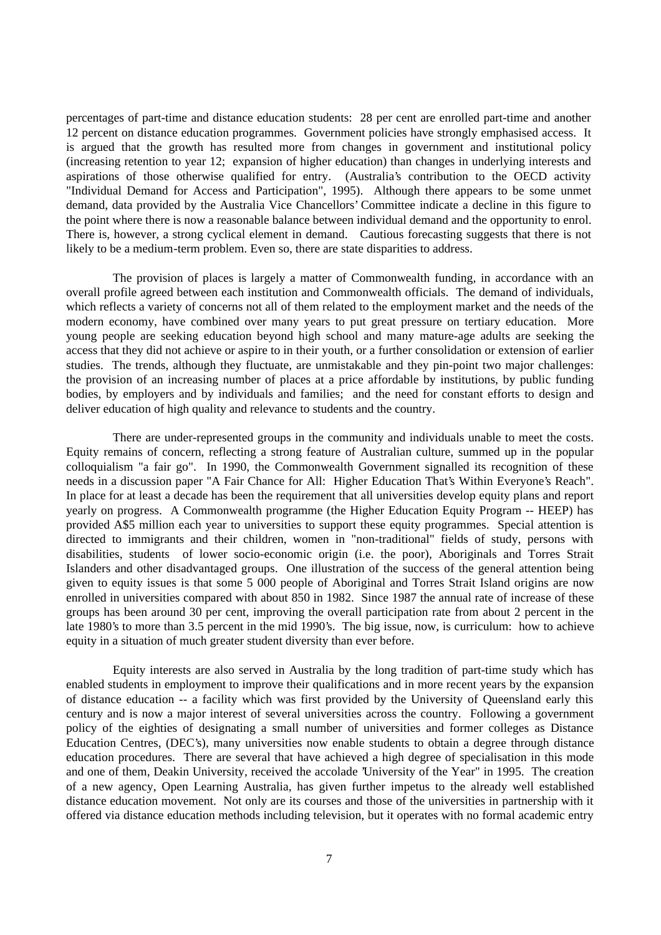percentages of part-time and distance education students: 28 per cent are enrolled part-time and another 12 percent on distance education programmes. Government policies have strongly emphasised access. It is argued that the growth has resulted more from changes in government and institutional policy (increasing retention to year 12; expansion of higher education) than changes in underlying interests and aspirations of those otherwise qualified for entry. (Australia's contribution to the OECD activity "Individual Demand for Access and Participation", 1995). Although there appears to be some unmet demand, data provided by the Australia Vice Chancellors' Committee indicate a decline in this figure to the point where there is now a reasonable balance between individual demand and the opportunity to enrol. There is, however, a strong cyclical element in demand. Cautious forecasting suggests that there is not likely to be a medium-term problem. Even so, there are state disparities to address.

The provision of places is largely a matter of Commonwealth funding, in accordance with an overall profile agreed between each institution and Commonwealth officials. The demand of individuals, which reflects a variety of concerns not all of them related to the employment market and the needs of the modern economy, have combined over many years to put great pressure on tertiary education. More young people are seeking education beyond high school and many mature-age adults are seeking the access that they did not achieve or aspire to in their youth, or a further consolidation or extension of earlier studies. The trends, although they fluctuate, are unmistakable and they pin-point two major challenges: the provision of an increasing number of places at a price affordable by institutions, by public funding bodies, by employers and by individuals and families; and the need for constant efforts to design and deliver education of high quality and relevance to students and the country.

There are under-represented groups in the community and individuals unable to meet the costs. Equity remains of concern, reflecting a strong feature of Australian culture, summed up in the popular colloquialism "a fair go". In 1990, the Commonwealth Government signalled its recognition of these needs in a discussion paper "A Fair Chance for All: Higher Education That's Within Everyone's Reach". In place for at least a decade has been the requirement that all universities develop equity plans and report yearly on progress. A Commonwealth programme (the Higher Education Equity Program -- HEEP) has provided A\$5 million each year to universities to support these equity programmes. Special attention is directed to immigrants and their children, women in "non-traditional" fields of study, persons with disabilities, students of lower socio-economic origin (i.e. the poor), Aboriginals and Torres Strait Islanders and other disadvantaged groups. One illustration of the success of the general attention being given to equity issues is that some 5 000 people of Aboriginal and Torres Strait Island origins are now enrolled in universities compared with about 850 in 1982. Since 1987 the annual rate of increase of these groups has been around 30 per cent, improving the overall participation rate from about 2 percent in the late 1980's to more than 3.5 percent in the mid 1990's. The big issue, now, is curriculum: how to achieve equity in a situation of much greater student diversity than ever before.

Equity interests are also served in Australia by the long tradition of part-time study which has enabled students in employment to improve their qualifications and in more recent years by the expansion of distance education -- a facility which was first provided by the University of Queensland early this century and is now a major interest of several universities across the country. Following a government policy of the eighties of designating a small number of universities and former colleges as Distance Education Centres, (DEC's), many universities now enable students to obtain a degree through distance education procedures. There are several that have achieved a high degree of specialisation in this mode and one of them, Deakin University, received the accolade 'University of the Year" in 1995. The creation of a new agency, Open Learning Australia, has given further impetus to the already well established distance education movement. Not only are its courses and those of the universities in partnership with it offered via distance education methods including television, but it operates with no formal academic entry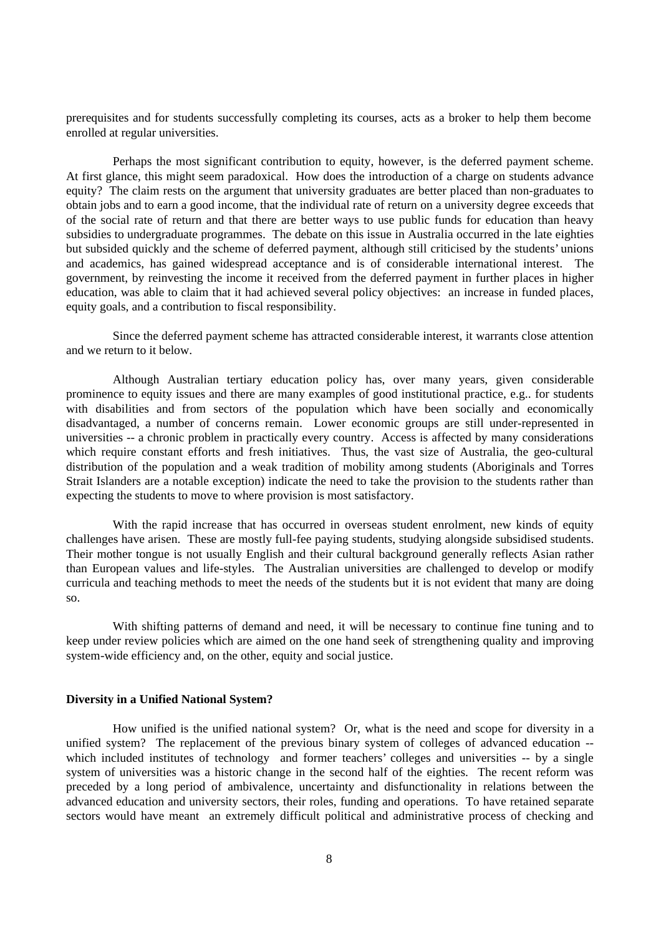prerequisites and for students successfully completing its courses, acts as a broker to help them become enrolled at regular universities.

Perhaps the most significant contribution to equity, however, is the deferred payment scheme. At first glance, this might seem paradoxical. How does the introduction of a charge on students advance equity? The claim rests on the argument that university graduates are better placed than non-graduates to obtain jobs and to earn a good income, that the individual rate of return on a university degree exceeds that of the social rate of return and that there are better ways to use public funds for education than heavy subsidies to undergraduate programmes. The debate on this issue in Australia occurred in the late eighties but subsided quickly and the scheme of deferred payment, although still criticised by the students' unions and academics, has gained widespread acceptance and is of considerable international interest. The government, by reinvesting the income it received from the deferred payment in further places in higher education, was able to claim that it had achieved several policy objectives: an increase in funded places, equity goals, and a contribution to fiscal responsibility.

Since the deferred payment scheme has attracted considerable interest, it warrants close attention and we return to it below.

Although Australian tertiary education policy has, over many years, given considerable prominence to equity issues and there are many examples of good institutional practice, e.g.. for students with disabilities and from sectors of the population which have been socially and economically disadvantaged, a number of concerns remain. Lower economic groups are still under-represented in universities -- a chronic problem in practically every country. Access is affected by many considerations which require constant efforts and fresh initiatives. Thus, the vast size of Australia, the geo-cultural distribution of the population and a weak tradition of mobility among students (Aboriginals and Torres Strait Islanders are a notable exception) indicate the need to take the provision to the students rather than expecting the students to move to where provision is most satisfactory.

With the rapid increase that has occurred in overseas student enrolment, new kinds of equity challenges have arisen. These are mostly full-fee paying students, studying alongside subsidised students. Their mother tongue is not usually English and their cultural background generally reflects Asian rather than European values and life-styles. The Australian universities are challenged to develop or modify curricula and teaching methods to meet the needs of the students but it is not evident that many are doing so.

With shifting patterns of demand and need, it will be necessary to continue fine tuning and to keep under review policies which are aimed on the one hand seek of strengthening quality and improving system-wide efficiency and, on the other, equity and social justice.

# **Diversity in a Unified National System?**

How unified is the unified national system? Or, what is the need and scope for diversity in a unified system? The replacement of the previous binary system of colleges of advanced education - which included institutes of technology and former teachers' colleges and universities -- by a single system of universities was a historic change in the second half of the eighties. The recent reform was preceded by a long period of ambivalence, uncertainty and disfunctionality in relations between the advanced education and university sectors, their roles, funding and operations. To have retained separate sectors would have meant an extremely difficult political and administrative process of checking and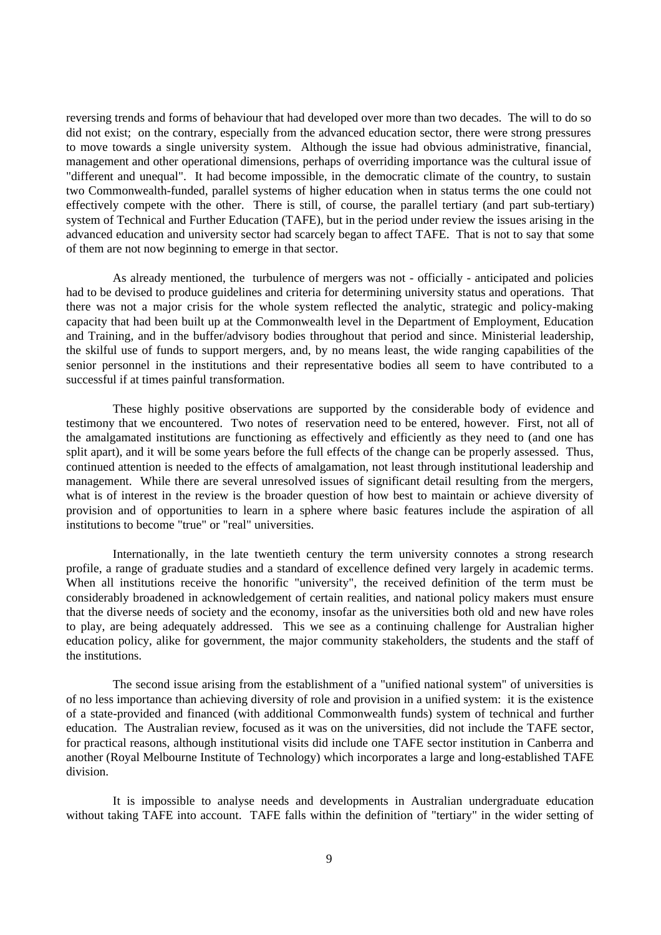reversing trends and forms of behaviour that had developed over more than two decades. The will to do so did not exist; on the contrary, especially from the advanced education sector, there were strong pressures to move towards a single university system. Although the issue had obvious administrative, financial, management and other operational dimensions, perhaps of overriding importance was the cultural issue of "different and unequal". It had become impossible, in the democratic climate of the country, to sustain two Commonwealth-funded, parallel systems of higher education when in status terms the one could not effectively compete with the other. There is still, of course, the parallel tertiary (and part sub-tertiary) system of Technical and Further Education (TAFE), but in the period under review the issues arising in the advanced education and university sector had scarcely began to affect TAFE. That is not to say that some of them are not now beginning to emerge in that sector.

As already mentioned, the turbulence of mergers was not - officially - anticipated and policies had to be devised to produce guidelines and criteria for determining university status and operations. That there was not a major crisis for the whole system reflected the analytic, strategic and policy-making capacity that had been built up at the Commonwealth level in the Department of Employment, Education and Training, and in the buffer/advisory bodies throughout that period and since. Ministerial leadership, the skilful use of funds to support mergers, and, by no means least, the wide ranging capabilities of the senior personnel in the institutions and their representative bodies all seem to have contributed to a successful if at times painful transformation.

These highly positive observations are supported by the considerable body of evidence and testimony that we encountered. Two notes of reservation need to be entered, however. First, not all of the amalgamated institutions are functioning as effectively and efficiently as they need to (and one has split apart), and it will be some years before the full effects of the change can be properly assessed. Thus, continued attention is needed to the effects of amalgamation, not least through institutional leadership and management. While there are several unresolved issues of significant detail resulting from the mergers, what is of interest in the review is the broader question of how best to maintain or achieve diversity of provision and of opportunities to learn in a sphere where basic features include the aspiration of all institutions to become "true" or "real" universities.

Internationally, in the late twentieth century the term university connotes a strong research profile, a range of graduate studies and a standard of excellence defined very largely in academic terms. When all institutions receive the honorific "university", the received definition of the term must be considerably broadened in acknowledgement of certain realities, and national policy makers must ensure that the diverse needs of society and the economy, insofar as the universities both old and new have roles to play, are being adequately addressed. This we see as a continuing challenge for Australian higher education policy, alike for government, the major community stakeholders, the students and the staff of the institutions.

The second issue arising from the establishment of a "unified national system" of universities is of no less importance than achieving diversity of role and provision in a unified system: it is the existence of a state-provided and financed (with additional Commonwealth funds) system of technical and further education. The Australian review, focused as it was on the universities, did not include the TAFE sector, for practical reasons, although institutional visits did include one TAFE sector institution in Canberra and another (Royal Melbourne Institute of Technology) which incorporates a large and long-established TAFE division.

It is impossible to analyse needs and developments in Australian undergraduate education without taking TAFE into account. TAFE falls within the definition of "tertiary" in the wider setting of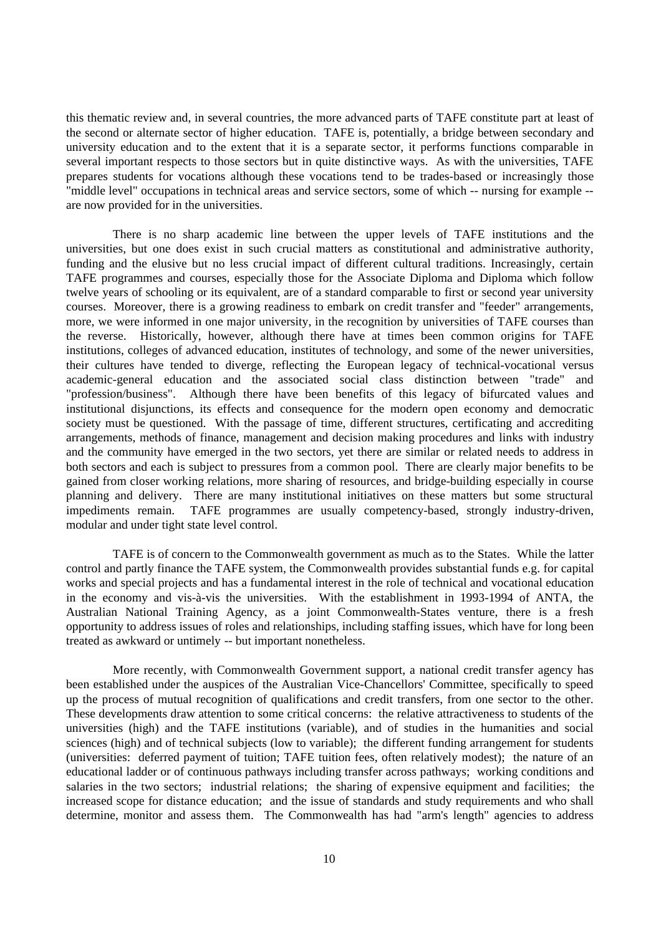this thematic review and, in several countries, the more advanced parts of TAFE constitute part at least of the second or alternate sector of higher education. TAFE is, potentially, a bridge between secondary and university education and to the extent that it is a separate sector, it performs functions comparable in several important respects to those sectors but in quite distinctive ways. As with the universities, TAFE prepares students for vocations although these vocations tend to be trades-based or increasingly those "middle level" occupations in technical areas and service sectors, some of which -- nursing for example - are now provided for in the universities.

There is no sharp academic line between the upper levels of TAFE institutions and the universities, but one does exist in such crucial matters as constitutional and administrative authority, funding and the elusive but no less crucial impact of different cultural traditions. Increasingly, certain TAFE programmes and courses, especially those for the Associate Diploma and Diploma which follow twelve years of schooling or its equivalent, are of a standard comparable to first or second year university courses. Moreover, there is a growing readiness to embark on credit transfer and "feeder" arrangements, more, we were informed in one major university, in the recognition by universities of TAFE courses than the reverse. Historically, however, although there have at times been common origins for TAFE institutions, colleges of advanced education, institutes of technology, and some of the newer universities, their cultures have tended to diverge, reflecting the European legacy of technical-vocational versus academic-general education and the associated social class distinction between "trade" and "profession/business". Although there have been benefits of this legacy of bifurcated values and institutional disjunctions, its effects and consequence for the modern open economy and democratic society must be questioned. With the passage of time, different structures, certificating and accrediting arrangements, methods of finance, management and decision making procedures and links with industry and the community have emerged in the two sectors, yet there are similar or related needs to address in both sectors and each is subject to pressures from a common pool. There are clearly major benefits to be gained from closer working relations, more sharing of resources, and bridge-building especially in course planning and delivery. There are many institutional initiatives on these matters but some structural impediments remain. TAFE programmes are usually competency-based, strongly industry-driven, modular and under tight state level control.

TAFE is of concern to the Commonwealth government as much as to the States. While the latter control and partly finance the TAFE system, the Commonwealth provides substantial funds e.g. for capital works and special projects and has a fundamental interest in the role of technical and vocational education in the economy and vis-à-vis the universities. With the establishment in 1993-1994 of ANTA, the Australian National Training Agency, as a joint Commonwealth-States venture, there is a fresh opportunity to address issues of roles and relationships, including staffing issues, which have for long been treated as awkward or untimely -- but important nonetheless.

More recently, with Commonwealth Government support, a national credit transfer agency has been established under the auspices of the Australian Vice-Chancellors' Committee, specifically to speed up the process of mutual recognition of qualifications and credit transfers, from one sector to the other. These developments draw attention to some critical concerns: the relative attractiveness to students of the universities (high) and the TAFE institutions (variable), and of studies in the humanities and social sciences (high) and of technical subjects (low to variable); the different funding arrangement for students (universities: deferred payment of tuition; TAFE tuition fees, often relatively modest); the nature of an educational ladder or of continuous pathways including transfer across pathways; working conditions and salaries in the two sectors; industrial relations; the sharing of expensive equipment and facilities; the increased scope for distance education; and the issue of standards and study requirements and who shall determine, monitor and assess them. The Commonwealth has had "arm's length" agencies to address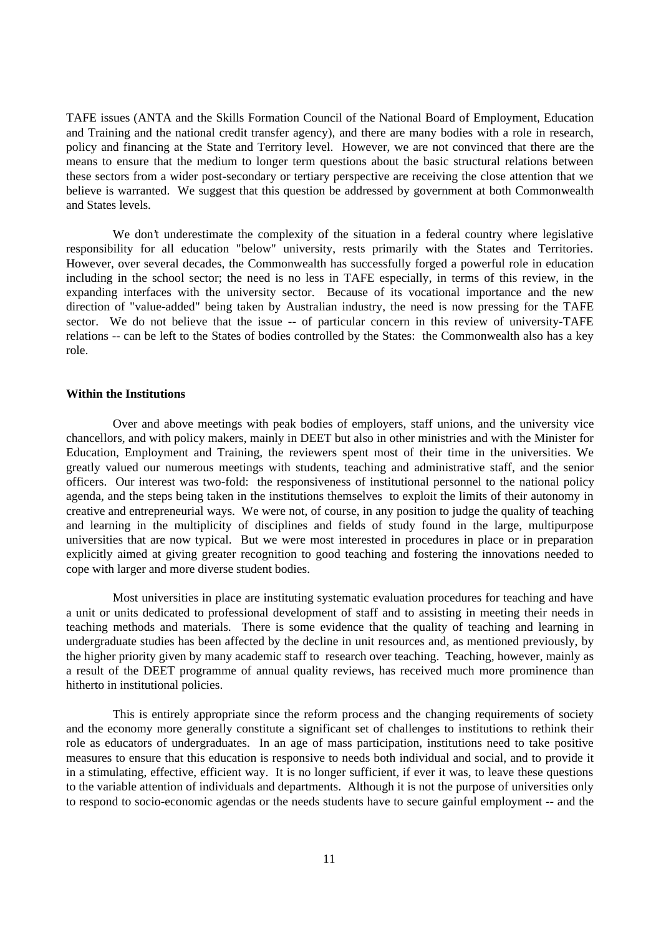TAFE issues (ANTA and the Skills Formation Council of the National Board of Employment, Education and Training and the national credit transfer agency), and there are many bodies with a role in research, policy and financing at the State and Territory level. However, we are not convinced that there are the means to ensure that the medium to longer term questions about the basic structural relations between these sectors from a wider post-secondary or tertiary perspective are receiving the close attention that we believe is warranted. We suggest that this question be addressed by government at both Commonwealth and States levels.

We don't underestimate the complexity of the situation in a federal country where legislative responsibility for all education "below" university, rests primarily with the States and Territories. However, over several decades, the Commonwealth has successfully forged a powerful role in education including in the school sector; the need is no less in TAFE especially, in terms of this review, in the expanding interfaces with the university sector. Because of its vocational importance and the new direction of "value-added" being taken by Australian industry, the need is now pressing for the TAFE sector. We do not believe that the issue -- of particular concern in this review of university-TAFE relations -- can be left to the States of bodies controlled by the States: the Commonwealth also has a key role.

### **Within the Institutions**

Over and above meetings with peak bodies of employers, staff unions, and the university vice chancellors, and with policy makers, mainly in DEET but also in other ministries and with the Minister for Education, Employment and Training, the reviewers spent most of their time in the universities. We greatly valued our numerous meetings with students, teaching and administrative staff, and the senior officers. Our interest was two-fold: the responsiveness of institutional personnel to the national policy agenda, and the steps being taken in the institutions themselves to exploit the limits of their autonomy in creative and entrepreneurial ways. We were not, of course, in any position to judge the quality of teaching and learning in the multiplicity of disciplines and fields of study found in the large, multipurpose universities that are now typical. But we were most interested in procedures in place or in preparation explicitly aimed at giving greater recognition to good teaching and fostering the innovations needed to cope with larger and more diverse student bodies.

Most universities in place are instituting systematic evaluation procedures for teaching and have a unit or units dedicated to professional development of staff and to assisting in meeting their needs in teaching methods and materials. There is some evidence that the quality of teaching and learning in undergraduate studies has been affected by the decline in unit resources and, as mentioned previously, by the higher priority given by many academic staff to research over teaching. Teaching, however, mainly as a result of the DEET programme of annual quality reviews, has received much more prominence than hitherto in institutional policies.

This is entirely appropriate since the reform process and the changing requirements of society and the economy more generally constitute a significant set of challenges to institutions to rethink their role as educators of undergraduates. In an age of mass participation, institutions need to take positive measures to ensure that this education is responsive to needs both individual and social, and to provide it in a stimulating, effective, efficient way. It is no longer sufficient, if ever it was, to leave these questions to the variable attention of individuals and departments. Although it is not the purpose of universities only to respond to socio-economic agendas or the needs students have to secure gainful employment -- and the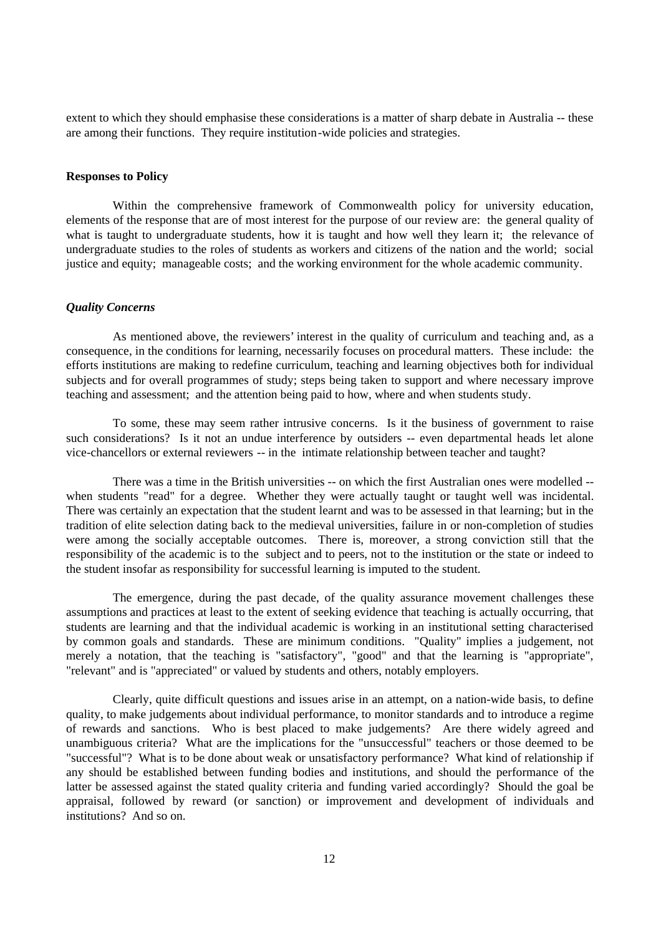extent to which they should emphasise these considerations is a matter of sharp debate in Australia -- these are among their functions. They require institution-wide policies and strategies.

# **Responses to Policy**

Within the comprehensive framework of Commonwealth policy for university education, elements of the response that are of most interest for the purpose of our review are: the general quality of what is taught to undergraduate students, how it is taught and how well they learn it; the relevance of undergraduate studies to the roles of students as workers and citizens of the nation and the world; social justice and equity; manageable costs; and the working environment for the whole academic community.

#### *Quality Concerns*

As mentioned above, the reviewers' interest in the quality of curriculum and teaching and, as a consequence, in the conditions for learning, necessarily focuses on procedural matters. These include: the efforts institutions are making to redefine curriculum, teaching and learning objectives both for individual subjects and for overall programmes of study; steps being taken to support and where necessary improve teaching and assessment; and the attention being paid to how, where and when students study.

To some, these may seem rather intrusive concerns. Is it the business of government to raise such considerations? Is it not an undue interference by outsiders -- even departmental heads let alone vice-chancellors or external reviewers -- in the intimate relationship between teacher and taught?

There was a time in the British universities -- on which the first Australian ones were modelled - when students "read" for a degree. Whether they were actually taught or taught well was incidental. There was certainly an expectation that the student learnt and was to be assessed in that learning; but in the tradition of elite selection dating back to the medieval universities, failure in or non-completion of studies were among the socially acceptable outcomes. There is, moreover, a strong conviction still that the responsibility of the academic is to the subject and to peers, not to the institution or the state or indeed to the student insofar as responsibility for successful learning is imputed to the student.

The emergence, during the past decade, of the quality assurance movement challenges these assumptions and practices at least to the extent of seeking evidence that teaching is actually occurring, that students are learning and that the individual academic is working in an institutional setting characterised by common goals and standards. These are minimum conditions. "Quality" implies a judgement, not merely a notation, that the teaching is "satisfactory", "good" and that the learning is "appropriate", "relevant" and is "appreciated" or valued by students and others, notably employers.

Clearly, quite difficult questions and issues arise in an attempt, on a nation-wide basis, to define quality, to make judgements about individual performance, to monitor standards and to introduce a regime of rewards and sanctions. Who is best placed to make judgements? Are there widely agreed and unambiguous criteria? What are the implications for the "unsuccessful" teachers or those deemed to be "successful"? What is to be done about weak or unsatisfactory performance? What kind of relationship if any should be established between funding bodies and institutions, and should the performance of the latter be assessed against the stated quality criteria and funding varied accordingly? Should the goal be appraisal, followed by reward (or sanction) or improvement and development of individuals and institutions? And so on.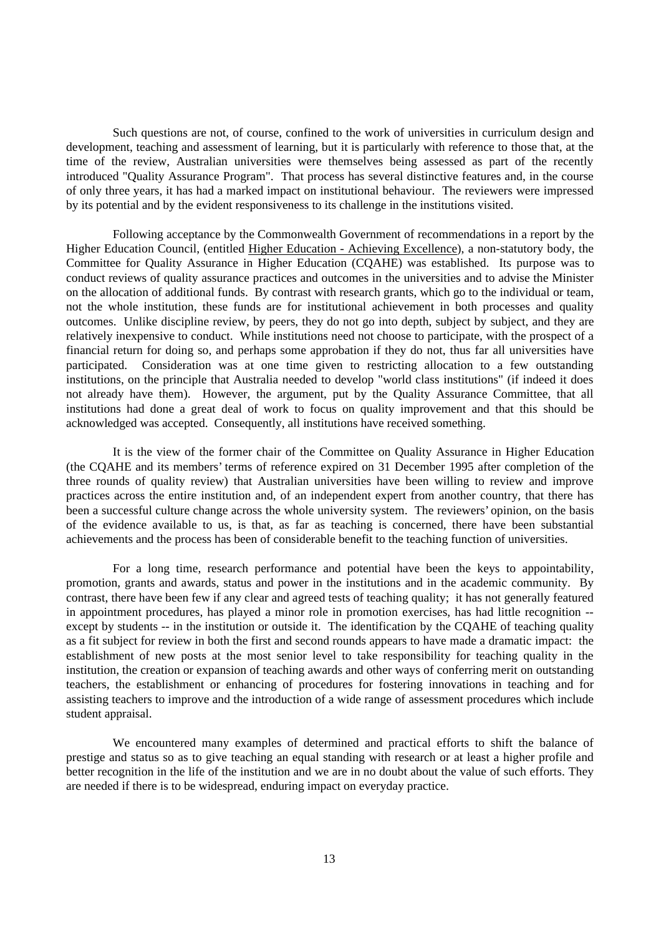Such questions are not, of course, confined to the work of universities in curriculum design and development, teaching and assessment of learning, but it is particularly with reference to those that, at the time of the review, Australian universities were themselves being assessed as part of the recently introduced "Quality Assurance Program". That process has several distinctive features and, in the course of only three years, it has had a marked impact on institutional behaviour. The reviewers were impressed by its potential and by the evident responsiveness to its challenge in the institutions visited.

Following acceptance by the Commonwealth Government of recommendations in a report by the Higher Education Council, (entitled Higher Education - Achieving Excellence), a non-statutory body, the Committee for Quality Assurance in Higher Education (CQAHE) was established. Its purpose was to conduct reviews of quality assurance practices and outcomes in the universities and to advise the Minister on the allocation of additional funds. By contrast with research grants, which go to the individual or team, not the whole institution, these funds are for institutional achievement in both processes and quality outcomes. Unlike discipline review, by peers, they do not go into depth, subject by subject, and they are relatively inexpensive to conduct. While institutions need not choose to participate, with the prospect of a financial return for doing so, and perhaps some approbation if they do not, thus far all universities have participated. Consideration was at one time given to restricting allocation to a few outstanding institutions, on the principle that Australia needed to develop "world class institutions" (if indeed it does not already have them). However, the argument, put by the Quality Assurance Committee, that all institutions had done a great deal of work to focus on quality improvement and that this should be acknowledged was accepted. Consequently, all institutions have received something.

It is the view of the former chair of the Committee on Quality Assurance in Higher Education (the CQAHE and its members' terms of reference expired on 31 December 1995 after completion of the three rounds of quality review) that Australian universities have been willing to review and improve practices across the entire institution and, of an independent expert from another country, that there has been a successful culture change across the whole university system. The reviewers' opinion, on the basis of the evidence available to us, is that, as far as teaching is concerned, there have been substantial achievements and the process has been of considerable benefit to the teaching function of universities.

For a long time, research performance and potential have been the keys to appointability, promotion, grants and awards, status and power in the institutions and in the academic community. By contrast, there have been few if any clear and agreed tests of teaching quality; it has not generally featured in appointment procedures, has played a minor role in promotion exercises, has had little recognition - except by students -- in the institution or outside it. The identification by the COAHE of teaching quality as a fit subject for review in both the first and second rounds appears to have made a dramatic impact: the establishment of new posts at the most senior level to take responsibility for teaching quality in the institution, the creation or expansion of teaching awards and other ways of conferring merit on outstanding teachers, the establishment or enhancing of procedures for fostering innovations in teaching and for assisting teachers to improve and the introduction of a wide range of assessment procedures which include student appraisal.

We encountered many examples of determined and practical efforts to shift the balance of prestige and status so as to give teaching an equal standing with research or at least a higher profile and better recognition in the life of the institution and we are in no doubt about the value of such efforts. They are needed if there is to be widespread, enduring impact on everyday practice.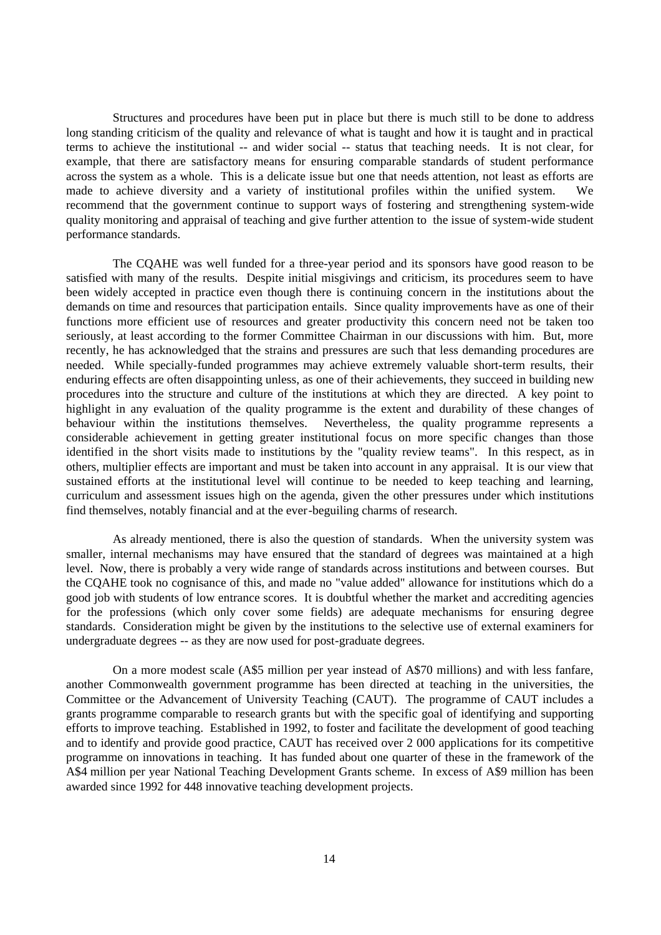Structures and procedures have been put in place but there is much still to be done to address long standing criticism of the quality and relevance of what is taught and how it is taught and in practical terms to achieve the institutional -- and wider social -- status that teaching needs. It is not clear, for example, that there are satisfactory means for ensuring comparable standards of student performance across the system as a whole. This is a delicate issue but one that needs attention, not least as efforts are made to achieve diversity and a variety of institutional profiles within the unified system. We recommend that the government continue to support ways of fostering and strengthening system-wide quality monitoring and appraisal of teaching and give further attention to the issue of system-wide student performance standards.

The CQAHE was well funded for a three-year period and its sponsors have good reason to be satisfied with many of the results. Despite initial misgivings and criticism, its procedures seem to have been widely accepted in practice even though there is continuing concern in the institutions about the demands on time and resources that participation entails. Since quality improvements have as one of their functions more efficient use of resources and greater productivity this concern need not be taken too seriously, at least according to the former Committee Chairman in our discussions with him. But, more recently, he has acknowledged that the strains and pressures are such that less demanding procedures are needed. While specially-funded programmes may achieve extremely valuable short-term results, their enduring effects are often disappointing unless, as one of their achievements, they succeed in building new procedures into the structure and culture of the institutions at which they are directed. A key point to highlight in any evaluation of the quality programme is the extent and durability of these changes of behaviour within the institutions themselves. Nevertheless, the quality programme represents a considerable achievement in getting greater institutional focus on more specific changes than those identified in the short visits made to institutions by the "quality review teams". In this respect, as in others, multiplier effects are important and must be taken into account in any appraisal. It is our view that sustained efforts at the institutional level will continue to be needed to keep teaching and learning, curriculum and assessment issues high on the agenda, given the other pressures under which institutions find themselves, notably financial and at the ever-beguiling charms of research.

As already mentioned, there is also the question of standards. When the university system was smaller, internal mechanisms may have ensured that the standard of degrees was maintained at a high level. Now, there is probably a very wide range of standards across institutions and between courses. But the CQAHE took no cognisance of this, and made no "value added" allowance for institutions which do a good job with students of low entrance scores. It is doubtful whether the market and accrediting agencies for the professions (which only cover some fields) are adequate mechanisms for ensuring degree standards. Consideration might be given by the institutions to the selective use of external examiners for undergraduate degrees -- as they are now used for post-graduate degrees.

On a more modest scale (A\$5 million per year instead of A\$70 millions) and with less fanfare, another Commonwealth government programme has been directed at teaching in the universities, the Committee or the Advancement of University Teaching (CAUT). The programme of CAUT includes a grants programme comparable to research grants but with the specific goal of identifying and supporting efforts to improve teaching. Established in 1992, to foster and facilitate the development of good teaching and to identify and provide good practice, CAUT has received over 2 000 applications for its competitive programme on innovations in teaching. It has funded about one quarter of these in the framework of the A\$4 million per year National Teaching Development Grants scheme. In excess of A\$9 million has been awarded since 1992 for 448 innovative teaching development projects.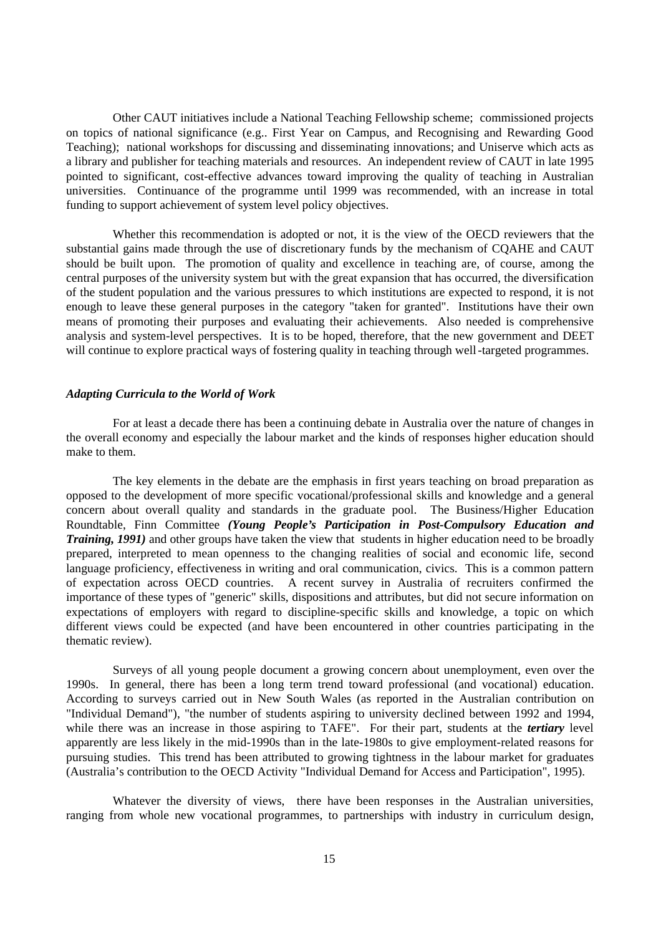Other CAUT initiatives include a National Teaching Fellowship scheme; commissioned projects on topics of national significance (e.g.. First Year on Campus, and Recognising and Rewarding Good Teaching); national workshops for discussing and disseminating innovations; and Uniserve which acts as a library and publisher for teaching materials and resources. An independent review of CAUT in late 1995 pointed to significant, cost-effective advances toward improving the quality of teaching in Australian universities. Continuance of the programme until 1999 was recommended, with an increase in total funding to support achievement of system level policy objectives.

Whether this recommendation is adopted or not, it is the view of the OECD reviewers that the substantial gains made through the use of discretionary funds by the mechanism of CQAHE and CAUT should be built upon. The promotion of quality and excellence in teaching are, of course, among the central purposes of the university system but with the great expansion that has occurred, the diversification of the student population and the various pressures to which institutions are expected to respond, it is not enough to leave these general purposes in the category "taken for granted". Institutions have their own means of promoting their purposes and evaluating their achievements. Also needed is comprehensive analysis and system-level perspectives. It is to be hoped, therefore, that the new government and DEET will continue to explore practical ways of fostering quality in teaching through well-targeted programmes.

### *Adapting Curricula to the World of Work*

For at least a decade there has been a continuing debate in Australia over the nature of changes in the overall economy and especially the labour market and the kinds of responses higher education should make to them.

The key elements in the debate are the emphasis in first years teaching on broad preparation as opposed to the development of more specific vocational/professional skills and knowledge and a general concern about overall quality and standards in the graduate pool. The Business/Higher Education Roundtable, Finn Committee *(Young People's Participation in Post-Compulsory Education and Training, 1991*) and other groups have taken the view that students in higher education need to be broadly prepared, interpreted to mean openness to the changing realities of social and economic life, second language proficiency, effectiveness in writing and oral communication, civics. This is a common pattern of expectation across OECD countries. A recent survey in Australia of recruiters confirmed the importance of these types of "generic" skills, dispositions and attributes, but did not secure information on expectations of employers with regard to discipline-specific skills and knowledge, a topic on which different views could be expected (and have been encountered in other countries participating in the thematic review).

Surveys of all young people document a growing concern about unemployment, even over the 1990s. In general, there has been a long term trend toward professional (and vocational) education. According to surveys carried out in New South Wales (as reported in the Australian contribution on "Individual Demand"), "the number of students aspiring to university declined between 1992 and 1994, while there was an increase in those aspiring to TAFE". For their part, students at the *tertiary* level apparently are less likely in the mid-1990s than in the late-1980s to give employment-related reasons for pursuing studies. This trend has been attributed to growing tightness in the labour market for graduates (Australia's contribution to the OECD Activity "Individual Demand for Access and Participation", 1995).

Whatever the diversity of views, there have been responses in the Australian universities, ranging from whole new vocational programmes, to partnerships with industry in curriculum design,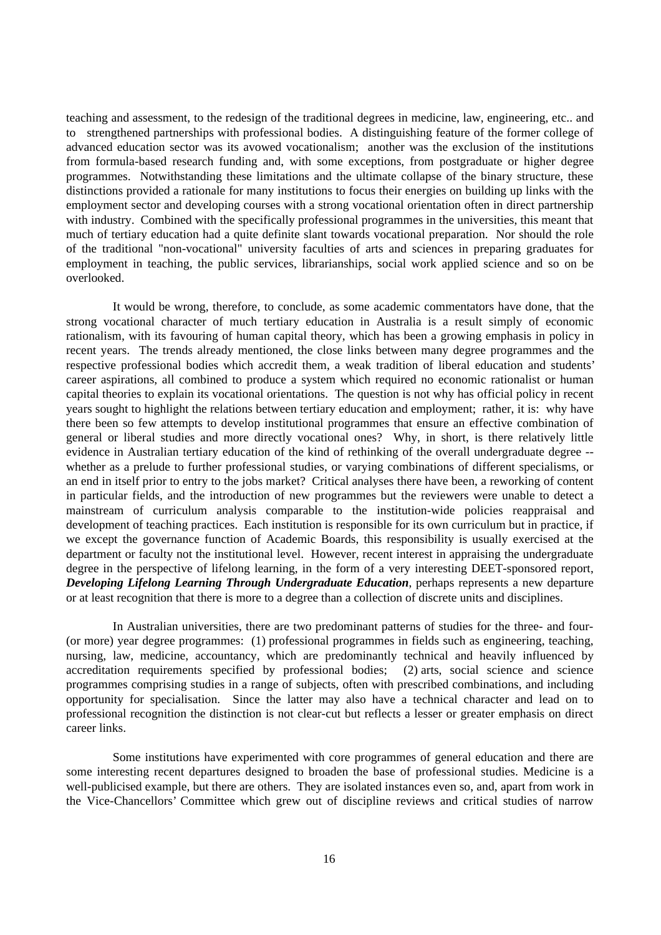teaching and assessment, to the redesign of the traditional degrees in medicine, law, engineering, etc.. and to strengthened partnerships with professional bodies. A distinguishing feature of the former college of advanced education sector was its avowed vocationalism; another was the exclusion of the institutions from formula-based research funding and, with some exceptions, from postgraduate or higher degree programmes. Notwithstanding these limitations and the ultimate collapse of the binary structure, these distinctions provided a rationale for many institutions to focus their energies on building up links with the employment sector and developing courses with a strong vocational orientation often in direct partnership with industry. Combined with the specifically professional programmes in the universities, this meant that much of tertiary education had a quite definite slant towards vocational preparation. Nor should the role of the traditional "non-vocational" university faculties of arts and sciences in preparing graduates for employment in teaching, the public services, librarianships, social work applied science and so on be overlooked.

It would be wrong, therefore, to conclude, as some academic commentators have done, that the strong vocational character of much tertiary education in Australia is a result simply of economic rationalism, with its favouring of human capital theory, which has been a growing emphasis in policy in recent years. The trends already mentioned, the close links between many degree programmes and the respective professional bodies which accredit them, a weak tradition of liberal education and students' career aspirations, all combined to produce a system which required no economic rationalist or human capital theories to explain its vocational orientations. The question is not why has official policy in recent years sought to highlight the relations between tertiary education and employment; rather, it is: why have there been so few attempts to develop institutional programmes that ensure an effective combination of general or liberal studies and more directly vocational ones? Why, in short, is there relatively little evidence in Australian tertiary education of the kind of rethinking of the overall undergraduate degree - whether as a prelude to further professional studies, or varying combinations of different specialisms, or an end in itself prior to entry to the jobs market? Critical analyses there have been, a reworking of content in particular fields, and the introduction of new programmes but the reviewers were unable to detect a mainstream of curriculum analysis comparable to the institution-wide policies reappraisal and development of teaching practices. Each institution is responsible for its own curriculum but in practice, if we except the governance function of Academic Boards, this responsibility is usually exercised at the department or faculty not the institutional level. However, recent interest in appraising the undergraduate degree in the perspective of lifelong learning, in the form of a very interesting DEET-sponsored report, *Developing Lifelong Learning Through Undergraduate Education*, perhaps represents a new departure or at least recognition that there is more to a degree than a collection of discrete units and disciplines.

In Australian universities, there are two predominant patterns of studies for the three- and four- (or more) year degree programmes: (1) professional programmes in fields such as engineering, teaching, nursing, law, medicine, accountancy, which are predominantly technical and heavily influenced by accreditation requirements specified by professional bodies; (2) arts, social science and science programmes comprising studies in a range of subjects, often with prescribed combinations, and including opportunity for specialisation. Since the latter may also have a technical character and lead on to professional recognition the distinction is not clear-cut but reflects a lesser or greater emphasis on direct career links.

Some institutions have experimented with core programmes of general education and there are some interesting recent departures designed to broaden the base of professional studies. Medicine is a well-publicised example, but there are others. They are isolated instances even so, and, apart from work in the Vice-Chancellors' Committee which grew out of discipline reviews and critical studies of narrow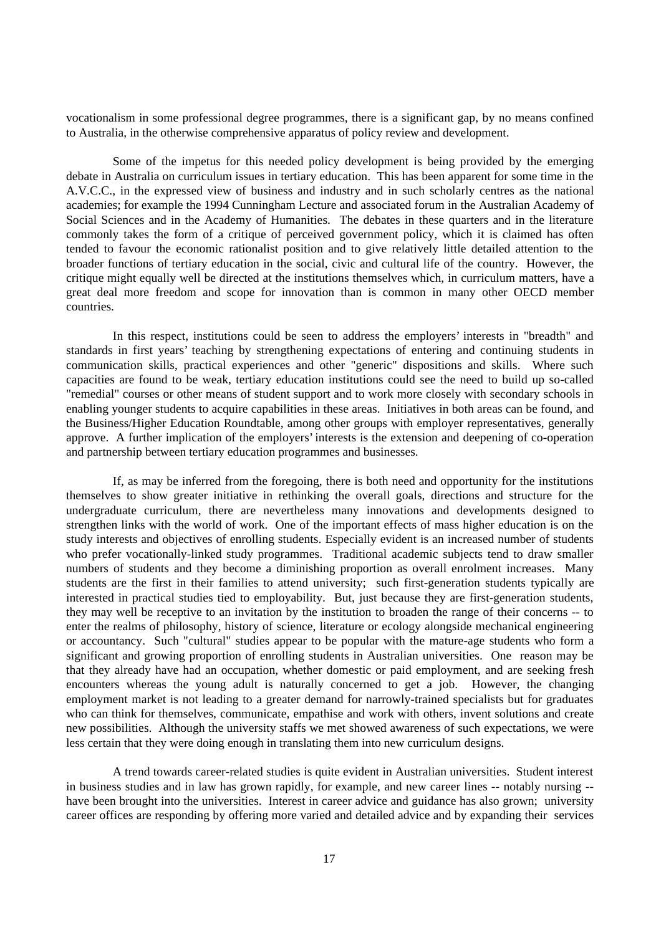vocationalism in some professional degree programmes, there is a significant gap, by no means confined to Australia, in the otherwise comprehensive apparatus of policy review and development.

Some of the impetus for this needed policy development is being provided by the emerging debate in Australia on curriculum issues in tertiary education. This has been apparent for some time in the A.V.C.C., in the expressed view of business and industry and in such scholarly centres as the national academies; for example the 1994 Cunningham Lecture and associated forum in the Australian Academy of Social Sciences and in the Academy of Humanities. The debates in these quarters and in the literature commonly takes the form of a critique of perceived government policy, which it is claimed has often tended to favour the economic rationalist position and to give relatively little detailed attention to the broader functions of tertiary education in the social, civic and cultural life of the country. However, the critique might equally well be directed at the institutions themselves which, in curriculum matters, have a great deal more freedom and scope for innovation than is common in many other OECD member countries.

In this respect, institutions could be seen to address the employers' interests in "breadth" and standards in first years' teaching by strengthening expectations of entering and continuing students in communication skills, practical experiences and other "generic" dispositions and skills. Where such capacities are found to be weak, tertiary education institutions could see the need to build up so-called "remedial" courses or other means of student support and to work more closely with secondary schools in enabling younger students to acquire capabilities in these areas. Initiatives in both areas can be found, and the Business/Higher Education Roundtable, among other groups with employer representatives, generally approve. A further implication of the employers' interests is the extension and deepening of co-operation and partnership between tertiary education programmes and businesses.

If, as may be inferred from the foregoing, there is both need and opportunity for the institutions themselves to show greater initiative in rethinking the overall goals, directions and structure for the undergraduate curriculum, there are nevertheless many innovations and developments designed to strengthen links with the world of work. One of the important effects of mass higher education is on the study interests and objectives of enrolling students. Especially evident is an increased number of students who prefer vocationally-linked study programmes. Traditional academic subjects tend to draw smaller numbers of students and they become a diminishing proportion as overall enrolment increases. Many students are the first in their families to attend university; such first-generation students typically are interested in practical studies tied to employability. But, just because they are first-generation students, they may well be receptive to an invitation by the institution to broaden the range of their concerns -- to enter the realms of philosophy, history of science, literature or ecology alongside mechanical engineering or accountancy. Such "cultural" studies appear to be popular with the mature-age students who form a significant and growing proportion of enrolling students in Australian universities. One reason may be that they already have had an occupation, whether domestic or paid employment, and are seeking fresh encounters whereas the young adult is naturally concerned to get a job. However, the changing employment market is not leading to a greater demand for narrowly-trained specialists but for graduates who can think for themselves, communicate, empathise and work with others, invent solutions and create new possibilities. Although the university staffs we met showed awareness of such expectations, we were less certain that they were doing enough in translating them into new curriculum designs.

A trend towards career-related studies is quite evident in Australian universities. Student interest in business studies and in law has grown rapidly, for example, and new career lines -- notably nursing - have been brought into the universities. Interest in career advice and guidance has also grown; university career offices are responding by offering more varied and detailed advice and by expanding their services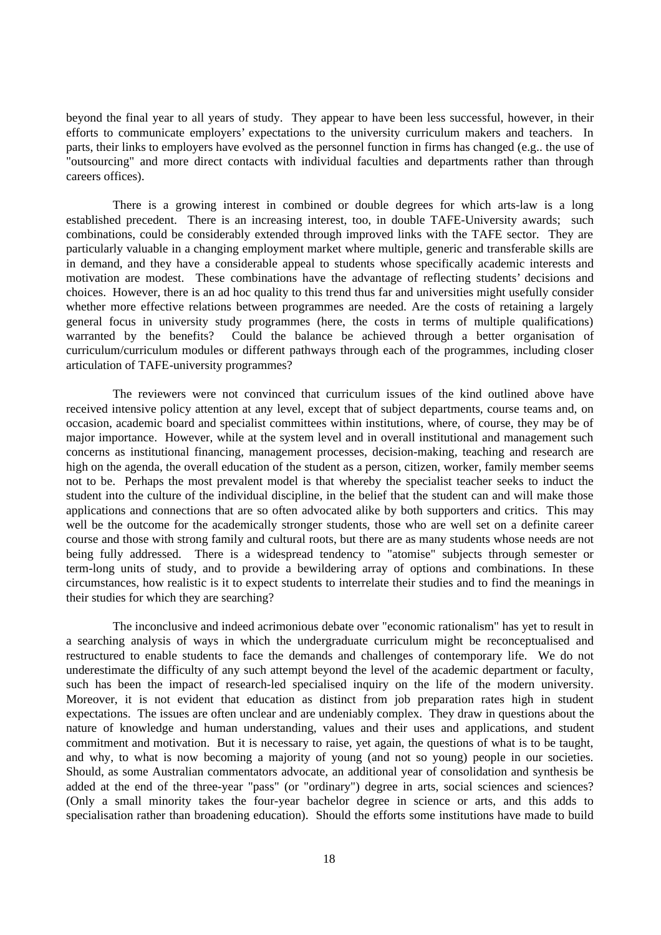beyond the final year to all years of study. They appear to have been less successful, however, in their efforts to communicate employers' expectations to the university curriculum makers and teachers. In parts, their links to employers have evolved as the personnel function in firms has changed (e.g.. the use of "outsourcing" and more direct contacts with individual faculties and departments rather than through careers offices).

There is a growing interest in combined or double degrees for which arts-law is a long established precedent. There is an increasing interest, too, in double TAFE-University awards; such combinations, could be considerably extended through improved links with the TAFE sector. They are particularly valuable in a changing employment market where multiple, generic and transferable skills are in demand, and they have a considerable appeal to students whose specifically academic interests and motivation are modest. These combinations have the advantage of reflecting students' decisions and choices. However, there is an ad hoc quality to this trend thus far and universities might usefully consider whether more effective relations between programmes are needed. Are the costs of retaining a largely general focus in university study programmes (here, the costs in terms of multiple qualifications) warranted by the benefits? Could the balance be achieved through a better organisation of curriculum/curriculum modules or different pathways through each of the programmes, including closer articulation of TAFE-university programmes?

The reviewers were not convinced that curriculum issues of the kind outlined above have received intensive policy attention at any level, except that of subject departments, course teams and, on occasion, academic board and specialist committees within institutions, where, of course, they may be of major importance. However, while at the system level and in overall institutional and management such concerns as institutional financing, management processes, decision-making, teaching and research are high on the agenda, the overall education of the student as a person, citizen, worker, family member seems not to be. Perhaps the most prevalent model is that whereby the specialist teacher seeks to induct the student into the culture of the individual discipline, in the belief that the student can and will make those applications and connections that are so often advocated alike by both supporters and critics. This may well be the outcome for the academically stronger students, those who are well set on a definite career course and those with strong family and cultural roots, but there are as many students whose needs are not being fully addressed. There is a widespread tendency to "atomise" subjects through semester or term-long units of study, and to provide a bewildering array of options and combinations. In these circumstances, how realistic is it to expect students to interrelate their studies and to find the meanings in their studies for which they are searching?

The inconclusive and indeed acrimonious debate over "economic rationalism" has yet to result in a searching analysis of ways in which the undergraduate curriculum might be reconceptualised and restructured to enable students to face the demands and challenges of contemporary life. We do not underestimate the difficulty of any such attempt beyond the level of the academic department or faculty, such has been the impact of research-led specialised inquiry on the life of the modern university. Moreover, it is not evident that education as distinct from job preparation rates high in student expectations. The issues are often unclear and are undeniably complex. They draw in questions about the nature of knowledge and human understanding, values and their uses and applications, and student commitment and motivation. But it is necessary to raise, yet again, the questions of what is to be taught, and why, to what is now becoming a majority of young (and not so young) people in our societies. Should, as some Australian commentators advocate, an additional year of consolidation and synthesis be added at the end of the three-year "pass" (or "ordinary") degree in arts, social sciences and sciences? (Only a small minority takes the four-year bachelor degree in science or arts, and this adds to specialisation rather than broadening education). Should the efforts some institutions have made to build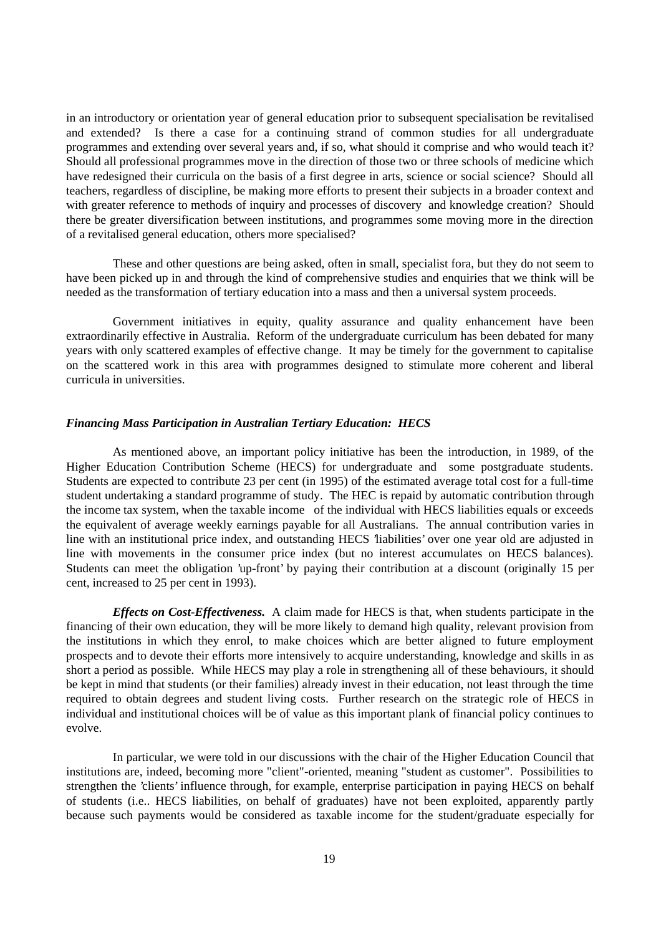in an introductory or orientation year of general education prior to subsequent specialisation be revitalised and extended? Is there a case for a continuing strand of common studies for all undergraduate programmes and extending over several years and, if so, what should it comprise and who would teach it? Should all professional programmes move in the direction of those two or three schools of medicine which have redesigned their curricula on the basis of a first degree in arts, science or social science? Should all teachers, regardless of discipline, be making more efforts to present their subjects in a broader context and with greater reference to methods of inquiry and processes of discovery and knowledge creation? Should there be greater diversification between institutions, and programmes some moving more in the direction of a revitalised general education, others more specialised?

These and other questions are being asked, often in small, specialist fora, but they do not seem to have been picked up in and through the kind of comprehensive studies and enquiries that we think will be needed as the transformation of tertiary education into a mass and then a universal system proceeds.

Government initiatives in equity, quality assurance and quality enhancement have been extraordinarily effective in Australia. Reform of the undergraduate curriculum has been debated for many years with only scattered examples of effective change. It may be timely for the government to capitalise on the scattered work in this area with programmes designed to stimulate more coherent and liberal curricula in universities.

#### *Financing Mass Participation in Australian Tertiary Education: HECS*

As mentioned above, an important policy initiative has been the introduction, in 1989, of the Higher Education Contribution Scheme (HECS) for undergraduate and some postgraduate students. Students are expected to contribute 23 per cent (in 1995) of the estimated average total cost for a full-time student undertaking a standard programme of study. The HEC is repaid by automatic contribution through the income tax system, when the taxable income of the individual with HECS liabilities equals or exceeds the equivalent of average weekly earnings payable for all Australians. The annual contribution varies in line with an institutional price index, and outstanding HECS 'liabilities' over one year old are adjusted in line with movements in the consumer price index (but no interest accumulates on HECS balances). Students can meet the obligation 'up-front' by paying their contribution at a discount (originally 15 per cent, increased to 25 per cent in 1993).

*Effects on Cost-Effectiveness.* A claim made for HECS is that, when students participate in the financing of their own education, they will be more likely to demand high quality, relevant provision from the institutions in which they enrol, to make choices which are better aligned to future employment prospects and to devote their efforts more intensively to acquire understanding, knowledge and skills in as short a period as possible. While HECS may play a role in strengthening all of these behaviours, it should be kept in mind that students (or their families) already invest in their education, not least through the time required to obtain degrees and student living costs. Further research on the strategic role of HECS in individual and institutional choices will be of value as this important plank of financial policy continues to evolve.

In particular, we were told in our discussions with the chair of the Higher Education Council that institutions are, indeed, becoming more "client"-oriented, meaning "student as customer". Possibilities to strengthen the 'clients' influence through, for example, enterprise participation in paying HECS on behalf of students (i.e.. HECS liabilities, on behalf of graduates) have not been exploited, apparently partly because such payments would be considered as taxable income for the student/graduate especially for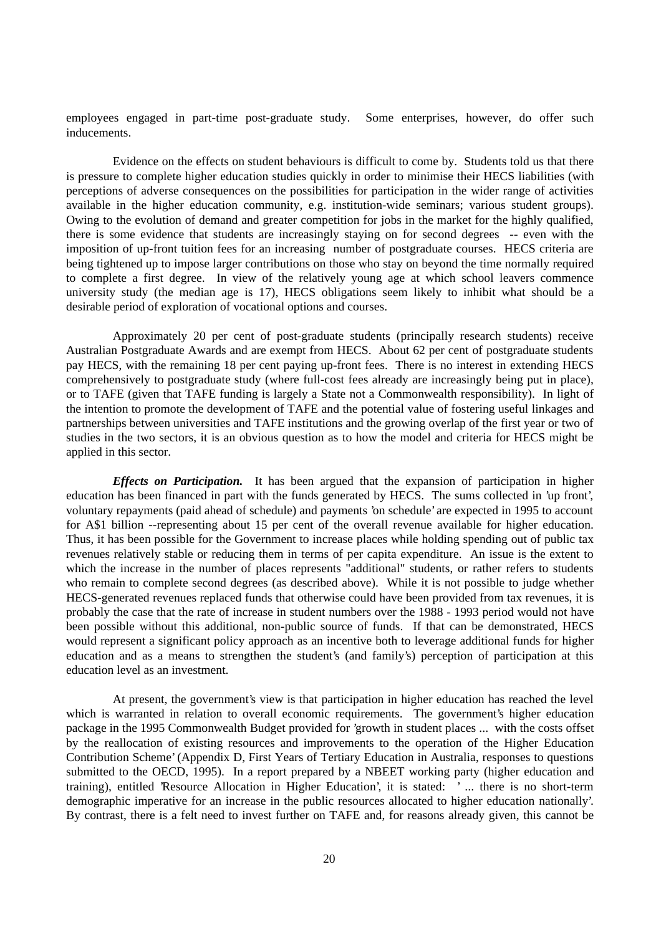employees engaged in part-time post-graduate study. Some enterprises, however, do offer such inducements.

Evidence on the effects on student behaviours is difficult to come by. Students told us that there is pressure to complete higher education studies quickly in order to minimise their HECS liabilities (with perceptions of adverse consequences on the possibilities for participation in the wider range of activities available in the higher education community, e.g. institution-wide seminars; various student groups). Owing to the evolution of demand and greater competition for jobs in the market for the highly qualified, there is some evidence that students are increasingly staying on for second degrees -- even with the imposition of up-front tuition fees for an increasing number of postgraduate courses. HECS criteria are being tightened up to impose larger contributions on those who stay on beyond the time normally required to complete a first degree. In view of the relatively young age at which school leavers commence university study (the median age is 17), HECS obligations seem likely to inhibit what should be a desirable period of exploration of vocational options and courses.

Approximately 20 per cent of post-graduate students (principally research students) receive Australian Postgraduate Awards and are exempt from HECS. About 62 per cent of postgraduate students pay HECS, with the remaining 18 per cent paying up-front fees. There is no interest in extending HECS comprehensively to postgraduate study (where full-cost fees already are increasingly being put in place), or to TAFE (given that TAFE funding is largely a State not a Commonwealth responsibility). In light of the intention to promote the development of TAFE and the potential value of fostering useful linkages and partnerships between universities and TAFE institutions and the growing overlap of the first year or two of studies in the two sectors, it is an obvious question as to how the model and criteria for HECS might be applied in this sector.

*Effects on Participation.* It has been argued that the expansion of participation in higher education has been financed in part with the funds generated by HECS. The sums collected in 'up front', voluntary repayments (paid ahead of schedule) and payments 'on schedule' are expected in 1995 to account for A\$1 billion --representing about 15 per cent of the overall revenue available for higher education. Thus, it has been possible for the Government to increase places while holding spending out of public tax revenues relatively stable or reducing them in terms of per capita expenditure. An issue is the extent to which the increase in the number of places represents "additional" students, or rather refers to students who remain to complete second degrees (as described above). While it is not possible to judge whether HECS-generated revenues replaced funds that otherwise could have been provided from tax revenues, it is probably the case that the rate of increase in student numbers over the 1988 - 1993 period would not have been possible without this additional, non-public source of funds. If that can be demonstrated, HECS would represent a significant policy approach as an incentive both to leverage additional funds for higher education and as a means to strengthen the student's (and family's) perception of participation at this education level as an investment.

At present, the government's view is that participation in higher education has reached the level which is warranted in relation to overall economic requirements. The government's higher education package in the 1995 Commonwealth Budget provided for 'growth in student places ... with the costs offset by the reallocation of existing resources and improvements to the operation of the Higher Education Contribution Scheme' (Appendix D, First Years of Tertiary Education in Australia, responses to questions submitted to the OECD, 1995). In a report prepared by a NBEET working party (higher education and training), entitled 'Resource Allocation in Higher Education', it is stated: ' ... there is no short-term demographic imperative for an increase in the public resources allocated to higher education nationally'. By contrast, there is a felt need to invest further on TAFE and, for reasons already given, this cannot be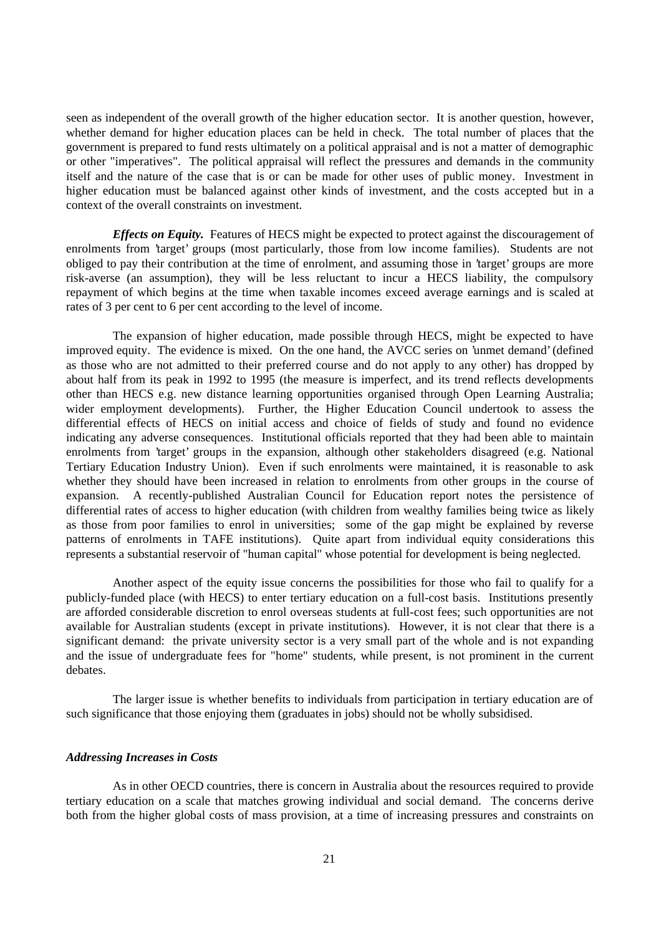seen as independent of the overall growth of the higher education sector. It is another question, however, whether demand for higher education places can be held in check. The total number of places that the government is prepared to fund rests ultimately on a political appraisal and is not a matter of demographic or other "imperatives". The political appraisal will reflect the pressures and demands in the community itself and the nature of the case that is or can be made for other uses of public money. Investment in higher education must be balanced against other kinds of investment, and the costs accepted but in a context of the overall constraints on investment.

*Effects on Equity.* Features of HECS might be expected to protect against the discouragement of enrolments from 'target' groups (most particularly, those from low income families). Students are not obliged to pay their contribution at the time of enrolment, and assuming those in 'target' groups are more risk-averse (an assumption), they will be less reluctant to incur a HECS liability, the compulsory repayment of which begins at the time when taxable incomes exceed average earnings and is scaled at rates of 3 per cent to 6 per cent according to the level of income.

The expansion of higher education, made possible through HECS, might be expected to have improved equity. The evidence is mixed. On the one hand, the AVCC series on 'unmet demand' (defined as those who are not admitted to their preferred course and do not apply to any other) has dropped by about half from its peak in 1992 to 1995 (the measure is imperfect, and its trend reflects developments other than HECS e.g. new distance learning opportunities organised through Open Learning Australia; wider employment developments). Further, the Higher Education Council undertook to assess the differential effects of HECS on initial access and choice of fields of study and found no evidence indicating any adverse consequences. Institutional officials reported that they had been able to maintain enrolments from 'target' groups in the expansion, although other stakeholders disagreed (e.g. National Tertiary Education Industry Union). Even if such enrolments were maintained, it is reasonable to ask whether they should have been increased in relation to enrolments from other groups in the course of expansion. A recently-published Australian Council for Education report notes the persistence of differential rates of access to higher education (with children from wealthy families being twice as likely as those from poor families to enrol in universities; some of the gap might be explained by reverse patterns of enrolments in TAFE institutions). Quite apart from individual equity considerations this represents a substantial reservoir of "human capital" whose potential for development is being neglected.

Another aspect of the equity issue concerns the possibilities for those who fail to qualify for a publicly-funded place (with HECS) to enter tertiary education on a full-cost basis. Institutions presently are afforded considerable discretion to enrol overseas students at full-cost fees; such opportunities are not available for Australian students (except in private institutions). However, it is not clear that there is a significant demand: the private university sector is a very small part of the whole and is not expanding and the issue of undergraduate fees for "home" students, while present, is not prominent in the current debates.

The larger issue is whether benefits to individuals from participation in tertiary education are of such significance that those enjoying them (graduates in jobs) should not be wholly subsidised.

#### *Addressing Increases in Costs*

As in other OECD countries, there is concern in Australia about the resources required to provide tertiary education on a scale that matches growing individual and social demand. The concerns derive both from the higher global costs of mass provision, at a time of increasing pressures and constraints on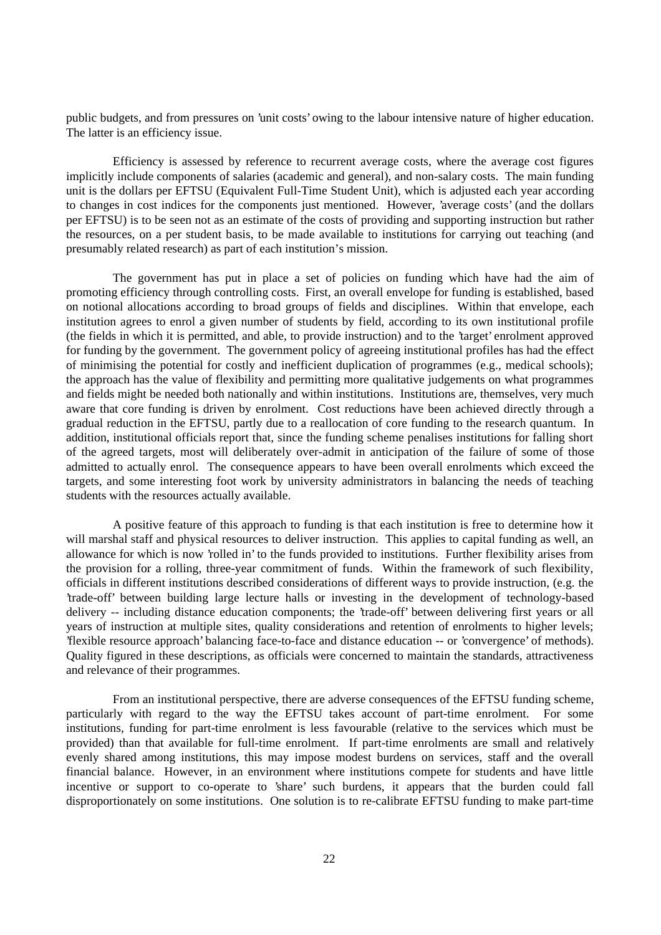public budgets, and from pressures on 'unit costs' owing to the labour intensive nature of higher education. The latter is an efficiency issue.

Efficiency is assessed by reference to recurrent average costs, where the average cost figures implicitly include components of salaries (academic and general), and non-salary costs. The main funding unit is the dollars per EFTSU (Equivalent Full-Time Student Unit), which is adjusted each year according to changes in cost indices for the components just mentioned. However, 'average costs' (and the dollars per EFTSU) is to be seen not as an estimate of the costs of providing and supporting instruction but rather the resources, on a per student basis, to be made available to institutions for carrying out teaching (and presumably related research) as part of each institution's mission.

The government has put in place a set of policies on funding which have had the aim of promoting efficiency through controlling costs. First, an overall envelope for funding is established, based on notional allocations according to broad groups of fields and disciplines. Within that envelope, each institution agrees to enrol a given number of students by field, according to its own institutional profile (the fields in which it is permitted, and able, to provide instruction) and to the 'target' enrolment approved for funding by the government. The government policy of agreeing institutional profiles has had the effect of minimising the potential for costly and inefficient duplication of programmes (e.g., medical schools); the approach has the value of flexibility and permitting more qualitative judgements on what programmes and fields might be needed both nationally and within institutions. Institutions are, themselves, very much aware that core funding is driven by enrolment. Cost reductions have been achieved directly through a gradual reduction in the EFTSU, partly due to a reallocation of core funding to the research quantum. In addition, institutional officials report that, since the funding scheme penalises institutions for falling short of the agreed targets, most will deliberately over-admit in anticipation of the failure of some of those admitted to actually enrol. The consequence appears to have been overall enrolments which exceed the targets, and some interesting foot work by university administrators in balancing the needs of teaching students with the resources actually available.

A positive feature of this approach to funding is that each institution is free to determine how it will marshal staff and physical resources to deliver instruction. This applies to capital funding as well, an allowance for which is now 'rolled in' to the funds provided to institutions. Further flexibility arises from the provision for a rolling, three-year commitment of funds. Within the framework of such flexibility, officials in different institutions described considerations of different ways to provide instruction, (e.g. the 'trade-off' between building large lecture halls or investing in the development of technology-based delivery -- including distance education components; the 'trade-off' between delivering first years or all years of instruction at multiple sites, quality considerations and retention of enrolments to higher levels; 'flexible resource approach' balancing face-to-face and distance education -- or 'convergence' of methods). Quality figured in these descriptions, as officials were concerned to maintain the standards, attractiveness and relevance of their programmes.

From an institutional perspective, there are adverse consequences of the EFTSU funding scheme, particularly with regard to the way the EFTSU takes account of part-time enrolment. For some institutions, funding for part-time enrolment is less favourable (relative to the services which must be provided) than that available for full-time enrolment. If part-time enrolments are small and relatively evenly shared among institutions, this may impose modest burdens on services, staff and the overall financial balance. However, in an environment where institutions compete for students and have little incentive or support to co-operate to 'share' such burdens, it appears that the burden could fall disproportionately on some institutions. One solution is to re-calibrate EFTSU funding to make part-time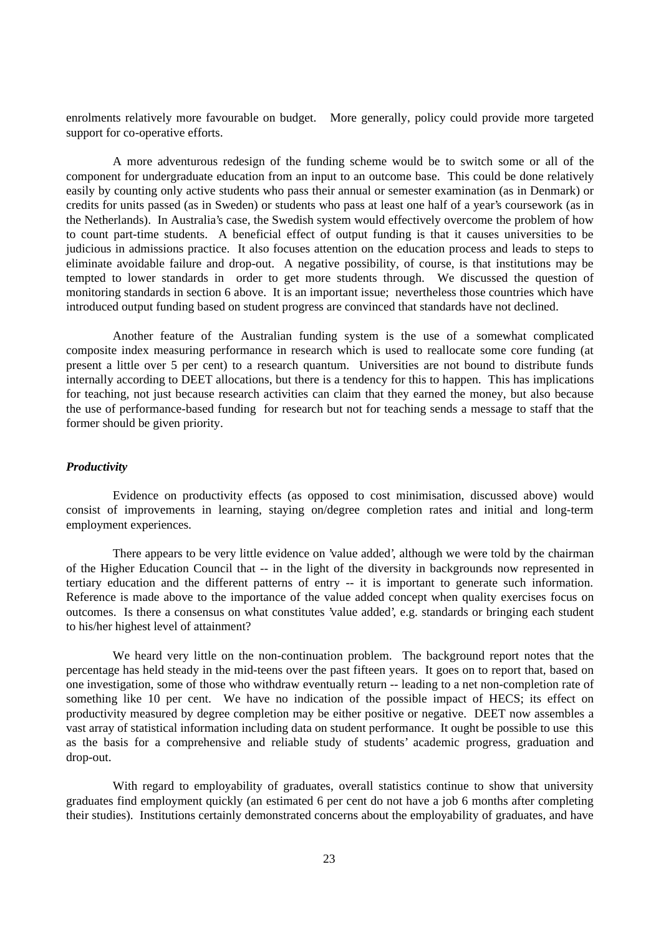enrolments relatively more favourable on budget. More generally, policy could provide more targeted support for co-operative efforts.

A more adventurous redesign of the funding scheme would be to switch some or all of the component for undergraduate education from an input to an outcome base. This could be done relatively easily by counting only active students who pass their annual or semester examination (as in Denmark) or credits for units passed (as in Sweden) or students who pass at least one half of a year's coursework (as in the Netherlands). In Australia's case, the Swedish system would effectively overcome the problem of how to count part-time students. A beneficial effect of output funding is that it causes universities to be judicious in admissions practice. It also focuses attention on the education process and leads to steps to eliminate avoidable failure and drop-out. A negative possibility, of course, is that institutions may be tempted to lower standards in order to get more students through. We discussed the question of monitoring standards in section 6 above. It is an important issue; nevertheless those countries which have introduced output funding based on student progress are convinced that standards have not declined.

Another feature of the Australian funding system is the use of a somewhat complicated composite index measuring performance in research which is used to reallocate some core funding (at present a little over 5 per cent) to a research quantum. Universities are not bound to distribute funds internally according to DEET allocations, but there is a tendency for this to happen. This has implications for teaching, not just because research activities can claim that they earned the money, but also because the use of performance-based funding for research but not for teaching sends a message to staff that the former should be given priority.

#### *Productivity*

Evidence on productivity effects (as opposed to cost minimisation, discussed above) would consist of improvements in learning, staying on/degree completion rates and initial and long-term employment experiences.

There appears to be very little evidence on 'value added', although we were told by the chairman of the Higher Education Council that -- in the light of the diversity in backgrounds now represented in tertiary education and the different patterns of entry -- it is important to generate such information. Reference is made above to the importance of the value added concept when quality exercises focus on outcomes. Is there a consensus on what constitutes 'value added', e.g. standards or bringing each student to his/her highest level of attainment?

We heard very little on the non-continuation problem. The background report notes that the percentage has held steady in the mid-teens over the past fifteen years. It goes on to report that, based on one investigation, some of those who withdraw eventually return -- leading to a net non-completion rate of something like 10 per cent. We have no indication of the possible impact of HECS; its effect on productivity measured by degree completion may be either positive or negative. DEET now assembles a vast array of statistical information including data on student performance. It ought be possible to use this as the basis for a comprehensive and reliable study of students' academic progress, graduation and drop-out.

With regard to employability of graduates, overall statistics continue to show that university graduates find employment quickly (an estimated 6 per cent do not have a job 6 months after completing their studies). Institutions certainly demonstrated concerns about the employability of graduates, and have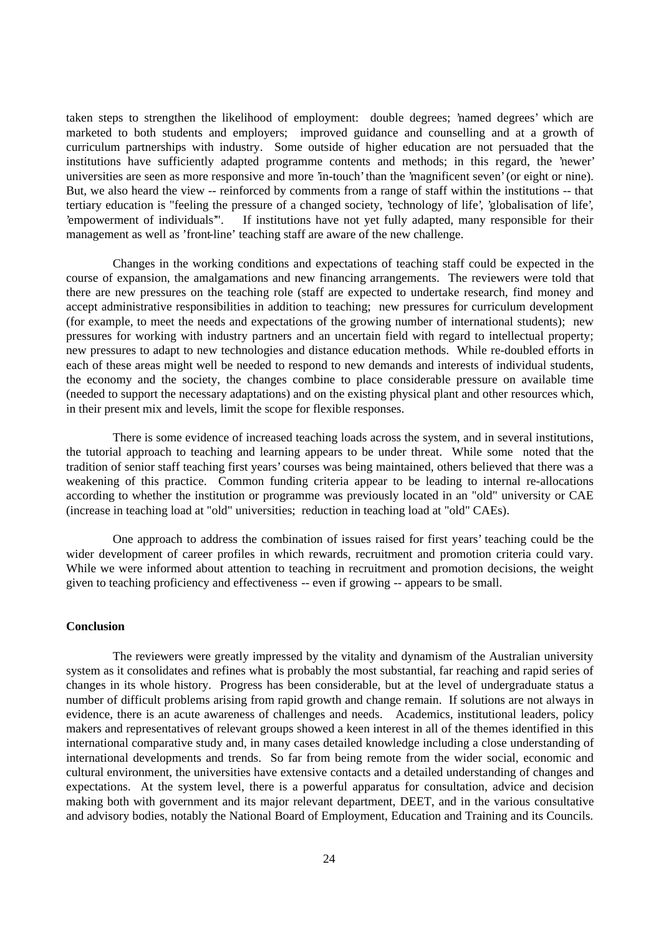taken steps to strengthen the likelihood of employment: double degrees; 'named degrees' which are marketed to both students and employers; improved guidance and counselling and at a growth of curriculum partnerships with industry. Some outside of higher education are not persuaded that the institutions have sufficiently adapted programme contents and methods; in this regard, the 'newer' universities are seen as more responsive and more 'in-touch' than the 'magnificent seven' (or eight or nine). But, we also heard the view -- reinforced by comments from a range of staff within the institutions -- that tertiary education is "feeling the pressure of a changed society, 'technology of life', 'globalisation of life', 'empowerment of individuals'". If institutions have not yet fully adapted, many responsible for their management as well as 'front-line' teaching staff are aware of the new challenge.

Changes in the working conditions and expectations of teaching staff could be expected in the course of expansion, the amalgamations and new financing arrangements. The reviewers were told that there are new pressures on the teaching role (staff are expected to undertake research, find money and accept administrative responsibilities in addition to teaching; new pressures for curriculum development (for example, to meet the needs and expectations of the growing number of international students); new pressures for working with industry partners and an uncertain field with regard to intellectual property; new pressures to adapt to new technologies and distance education methods. While re-doubled efforts in each of these areas might well be needed to respond to new demands and interests of individual students, the economy and the society, the changes combine to place considerable pressure on available time (needed to support the necessary adaptations) and on the existing physical plant and other resources which, in their present mix and levels, limit the scope for flexible responses.

There is some evidence of increased teaching loads across the system, and in several institutions, the tutorial approach to teaching and learning appears to be under threat. While some noted that the tradition of senior staff teaching first years' courses was being maintained, others believed that there was a weakening of this practice. Common funding criteria appear to be leading to internal re-allocations according to whether the institution or programme was previously located in an "old" university or CAE (increase in teaching load at "old" universities; reduction in teaching load at "old" CAEs).

One approach to address the combination of issues raised for first years' teaching could be the wider development of career profiles in which rewards, recruitment and promotion criteria could vary. While we were informed about attention to teaching in recruitment and promotion decisions, the weight given to teaching proficiency and effectiveness -- even if growing -- appears to be small.

## **Conclusion**

The reviewers were greatly impressed by the vitality and dynamism of the Australian university system as it consolidates and refines what is probably the most substantial, far reaching and rapid series of changes in its whole history. Progress has been considerable, but at the level of undergraduate status a number of difficult problems arising from rapid growth and change remain. If solutions are not always in evidence, there is an acute awareness of challenges and needs. Academics, institutional leaders, policy makers and representatives of relevant groups showed a keen interest in all of the themes identified in this international comparative study and, in many cases detailed knowledge including a close understanding of international developments and trends. So far from being remote from the wider social, economic and cultural environment, the universities have extensive contacts and a detailed understanding of changes and expectations. At the system level, there is a powerful apparatus for consultation, advice and decision making both with government and its major relevant department, DEET, and in the various consultative and advisory bodies, notably the National Board of Employment, Education and Training and its Councils.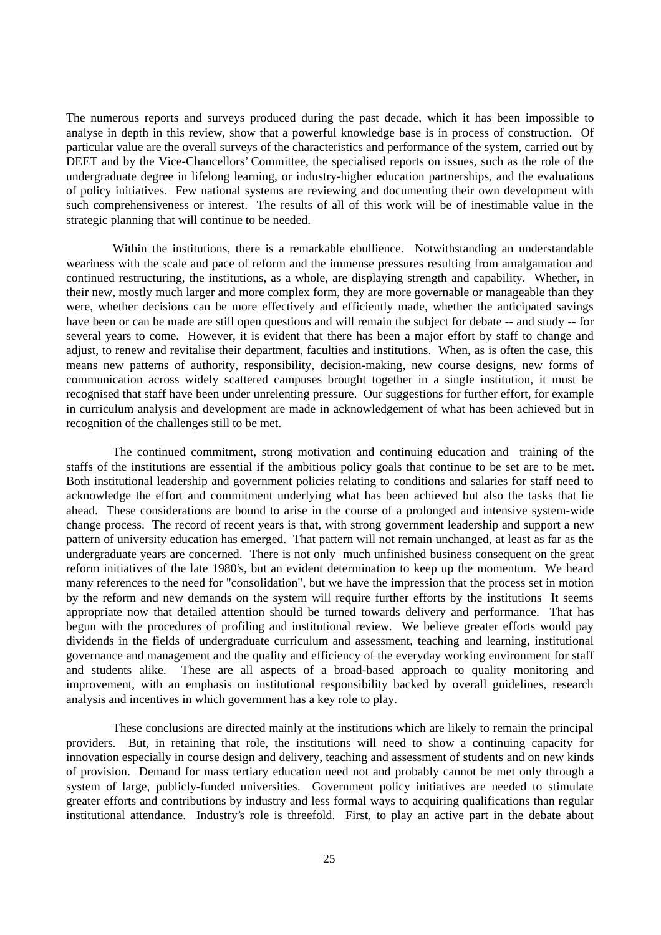The numerous reports and surveys produced during the past decade, which it has been impossible to analyse in depth in this review, show that a powerful knowledge base is in process of construction. Of particular value are the overall surveys of the characteristics and performance of the system, carried out by DEET and by the Vice-Chancellors' Committee, the specialised reports on issues, such as the role of the undergraduate degree in lifelong learning, or industry-higher education partnerships, and the evaluations of policy initiatives. Few national systems are reviewing and documenting their own development with such comprehensiveness or interest. The results of all of this work will be of inestimable value in the strategic planning that will continue to be needed.

Within the institutions, there is a remarkable ebullience. Notwithstanding an understandable weariness with the scale and pace of reform and the immense pressures resulting from amalgamation and continued restructuring, the institutions, as a whole, are displaying strength and capability. Whether, in their new, mostly much larger and more complex form, they are more governable or manageable than they were, whether decisions can be more effectively and efficiently made, whether the anticipated savings have been or can be made are still open questions and will remain the subject for debate -- and study -- for several years to come. However, it is evident that there has been a major effort by staff to change and adjust, to renew and revitalise their department, faculties and institutions. When, as is often the case, this means new patterns of authority, responsibility, decision-making, new course designs, new forms of communication across widely scattered campuses brought together in a single institution, it must be recognised that staff have been under unrelenting pressure. Our suggestions for further effort, for example in curriculum analysis and development are made in acknowledgement of what has been achieved but in recognition of the challenges still to be met.

The continued commitment, strong motivation and continuing education and training of the staffs of the institutions are essential if the ambitious policy goals that continue to be set are to be met. Both institutional leadership and government policies relating to conditions and salaries for staff need to acknowledge the effort and commitment underlying what has been achieved but also the tasks that lie ahead. These considerations are bound to arise in the course of a prolonged and intensive system-wide change process. The record of recent years is that, with strong government leadership and support a new pattern of university education has emerged. That pattern will not remain unchanged, at least as far as the undergraduate years are concerned. There is not only much unfinished business consequent on the great reform initiatives of the late 1980's, but an evident determination to keep up the momentum. We heard many references to the need for "consolidation", but we have the impression that the process set in motion by the reform and new demands on the system will require further efforts by the institutions It seems appropriate now that detailed attention should be turned towards delivery and performance. That has begun with the procedures of profiling and institutional review. We believe greater efforts would pay dividends in the fields of undergraduate curriculum and assessment, teaching and learning, institutional governance and management and the quality and efficiency of the everyday working environment for staff and students alike. These are all aspects of a broad-based approach to quality monitoring and improvement, with an emphasis on institutional responsibility backed by overall guidelines, research analysis and incentives in which government has a key role to play.

These conclusions are directed mainly at the institutions which are likely to remain the principal providers. But, in retaining that role, the institutions will need to show a continuing capacity for innovation especially in course design and delivery, teaching and assessment of students and on new kinds of provision. Demand for mass tertiary education need not and probably cannot be met only through a system of large, publicly-funded universities. Government policy initiatives are needed to stimulate greater efforts and contributions by industry and less formal ways to acquiring qualifications than regular institutional attendance. Industry's role is threefold. First, to play an active part in the debate about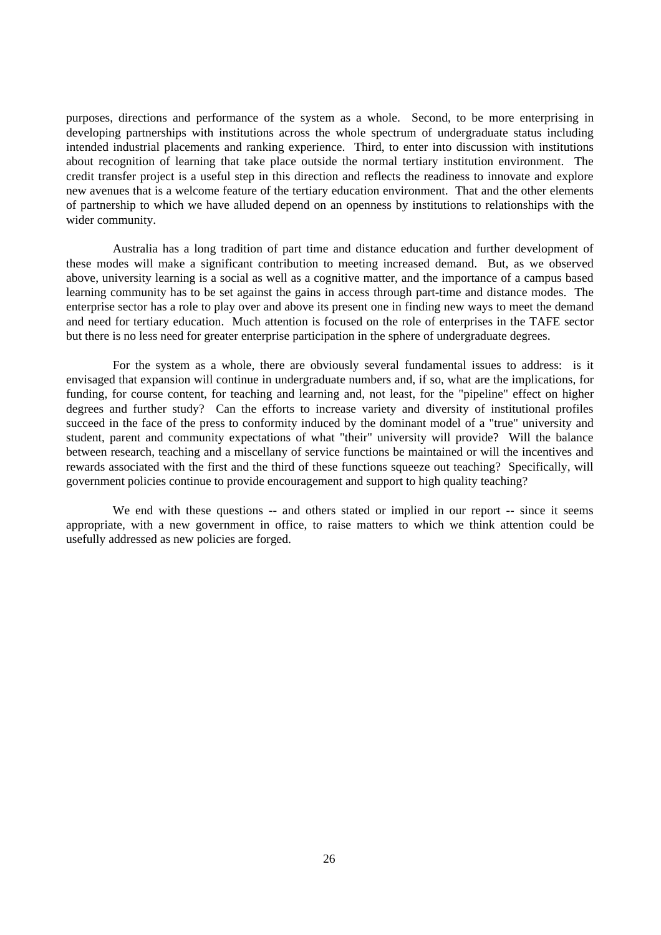purposes, directions and performance of the system as a whole. Second, to be more enterprising in developing partnerships with institutions across the whole spectrum of undergraduate status including intended industrial placements and ranking experience. Third, to enter into discussion with institutions about recognition of learning that take place outside the normal tertiary institution environment. The credit transfer project is a useful step in this direction and reflects the readiness to innovate and explore new avenues that is a welcome feature of the tertiary education environment. That and the other elements of partnership to which we have alluded depend on an openness by institutions to relationships with the wider community.

Australia has a long tradition of part time and distance education and further development of these modes will make a significant contribution to meeting increased demand. But, as we observed above, university learning is a social as well as a cognitive matter, and the importance of a campus based learning community has to be set against the gains in access through part-time and distance modes. The enterprise sector has a role to play over and above its present one in finding new ways to meet the demand and need for tertiary education. Much attention is focused on the role of enterprises in the TAFE sector but there is no less need for greater enterprise participation in the sphere of undergraduate degrees.

For the system as a whole, there are obviously several fundamental issues to address: is it envisaged that expansion will continue in undergraduate numbers and, if so, what are the implications, for funding, for course content, for teaching and learning and, not least, for the "pipeline" effect on higher degrees and further study? Can the efforts to increase variety and diversity of institutional profiles succeed in the face of the press to conformity induced by the dominant model of a "true" university and student, parent and community expectations of what "their" university will provide? Will the balance between research, teaching and a miscellany of service functions be maintained or will the incentives and rewards associated with the first and the third of these functions squeeze out teaching? Specifically, will government policies continue to provide encouragement and support to high quality teaching?

We end with these questions -- and others stated or implied in our report -- since it seems appropriate, with a new government in office, to raise matters to which we think attention could be usefully addressed as new policies are forged.